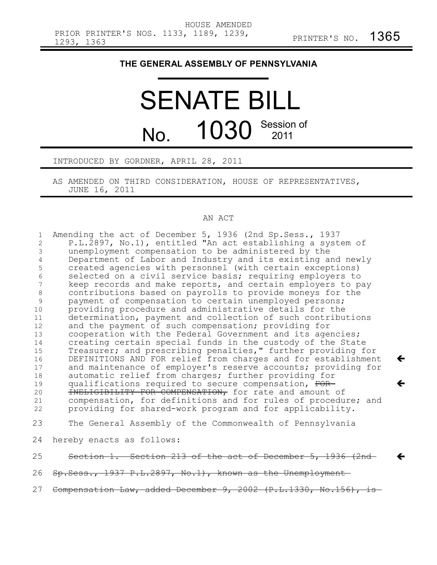$\leftarrow$ 

 $\leftarrow$ 

 $\leftarrow$ 

## **THE GENERAL ASSEMBLY OF PENNSYLVANIA**

## SENATE BILL No. 1030 Session of

## INTRODUCED BY GORDNER, APRIL 28, 2011

AS AMENDED ON THIRD CONSIDERATION, HOUSE OF REPRESENTATIVES, JUNE 16, 2011

## AN ACT

| $\mathbf{1}$   | Amending the act of December 5, 1936 (2nd Sp. Sess., 1937        |
|----------------|------------------------------------------------------------------|
| $\overline{2}$ | P.L.2897, No.1), entitled "An act establishing a system of       |
| 3              | unemployment compensation to be administered by the              |
| 4              | Department of Labor and Industry and its existing and newly      |
| 5              | created agencies with personnel (with certain exceptions)        |
| 6              | selected on a civil service basis; requiring employers to        |
| 7              | keep records and make reports, and certain employers to pay      |
| $\,8\,$        | contributions based on payrolls to provide moneys for the        |
| 9              | payment of compensation to certain unemployed persons;           |
| 10             | providing procedure and administrative details for the           |
| 11             | determination, payment and collection of such contributions      |
| 12             | and the payment of such compensation; providing for              |
| 13             | cooperation with the Federal Government and its agencies;        |
| 14             | creating certain special funds in the custody of the State       |
| 15             | Treasurer; and prescribing penalties," further providing for     |
| 16             | DEFINITIONS AND FOR relief from charges and for establishment    |
| 17             | and maintenance of employer's reserve accounts; providing for    |
| 18             | automatic relief from charges; further providing for             |
| 19             | qualifications required to secure compensation, FOR-             |
| 20             | INELIGIBILITY FOR COMPENSATION, for rate and amount of           |
| 21             | compensation, for definitions and for rules of procedure; and    |
| 22             | providing for shared-work program and for applicability.         |
| 23             | The General Assembly of the Commonwealth of Pennsylvania         |
| 24             | hereby enacts as follows:                                        |
| 25             | Section 1. Section 213 of the act of December 5, 1936 (2nd-      |
| 26             | Sp. Sess., 1937 P.L. 2897, No. 1), known as the Unemployment     |
| 27             | Compensation Law, added December 9, 2002 (P.L.1330, No.156), is- |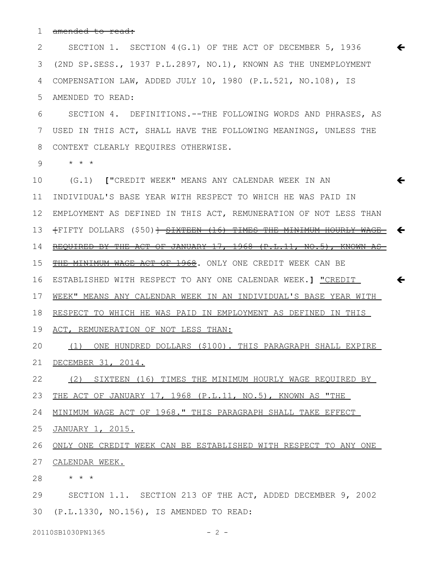amended to read: 1

SECTION 1. SECTION 4(G.1) OF THE ACT OF DECEMBER 5, 1936 (2ND SP.SESS., 1937 P.L.2897, NO.1), KNOWN AS THE UNEMPLOYMENT COMPENSATION LAW, ADDED JULY 10, 1980 (P.L.521, NO.108), IS AMENDED TO READ: 2 3 4 5

 $\leftarrow$ 

SECTION 4. DEFINITIONS.--THE FOLLOWING WORDS AND PHRASES, AS USED IN THIS ACT, SHALL HAVE THE FOLLOWING MEANINGS, UNLESS THE CONTEXT CLEARLY REQUIRES OTHERWISE. 6 7 8

\* \* \* 9

(G.1) **[**"CREDIT WEEK" MEANS ANY CALENDAR WEEK IN AN INDIVIDUAL'S BASE YEAR WITH RESPECT TO WHICH HE WAS PAID IN EMPLOYMENT AS DEFINED IN THIS ACT, REMUNERATION OF NOT LESS THAN 12  $+$ FIFTY DOLLARS (\$50)<del>] <u>SIXTEEN (16) TIMES THE MINIMUM HOURLY WAGE</u>  $\blacklozenge$ </del> REQUIRED BY THE ACT OF JANUARY 17, 1968 (P.L.11, NO.5), KNOWN AS THE MINIMUM WAGE ACT OF 1968. ONLY ONE CREDIT WEEK CAN BE ESTABLISHED WITH RESPECT TO ANY ONE CALENDAR WEEK.**]** "CREDIT WEEK" MEANS ANY CALENDAR WEEK IN AN INDIVIDUAL'S BASE YEAR WITH RESPECT TO WHICH HE WAS PAID IN EMPLOYMENT AS DEFINED IN THIS ACT, REMUNERATION OF NOT LESS THAN: (1) ONE HUNDRED DOLLARS (\$100). THIS PARAGRAPH SHALL EXPIRE DECEMBER 31, 2014. (2) SIXTEEN (16) TIMES THE MINIMUM HOURLY WAGE REQUIRED BY THE ACT OF JANUARY 17, 1968 (P.L.11, NO.5), KNOWN AS "THE MINIMUM WAGE ACT OF 1968." THIS PARAGRAPH SHALL TAKE EFFECT  $\leftarrow$  $\leftarrow$ 10 11 13 14 15 16 17 18 19 20 21 22 23 24

JANUARY 1, 2015. 25

ONLY ONE CREDIT WEEK CAN BE ESTABLISHED WITH RESPECT TO ANY ONE 27 CALENDAR WEEK. 26

\* \* \* 28

SECTION 1.1. SECTION 213 OF THE ACT, ADDED DECEMBER 9, 2002 (P.L.1330, NO.156), IS AMENDED TO READ: 3029

20110SB1030PN1365 - 2 -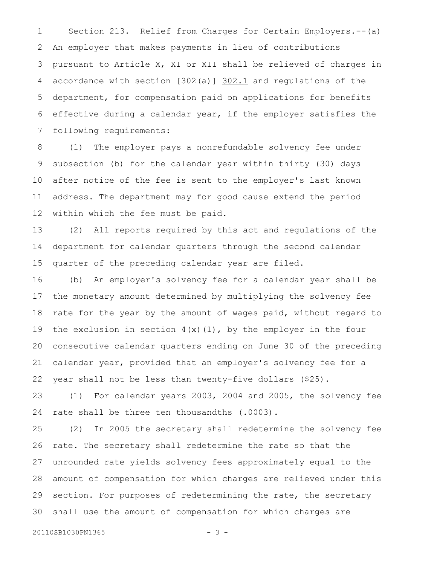Section 213. Relief from Charges for Certain Employers.--(a) An employer that makes payments in lieu of contributions pursuant to Article X, XI or XII shall be relieved of charges in accordance with section [302(a)] 302.1 and regulations of the department, for compensation paid on applications for benefits effective during a calendar year, if the employer satisfies the following requirements: 1 2 3 4 5 6 7

(1) The employer pays a nonrefundable solvency fee under subsection (b) for the calendar year within thirty (30) days after notice of the fee is sent to the employer's last known address. The department may for good cause extend the period within which the fee must be paid. 8 9 10 11 12

(2) All reports required by this act and regulations of the department for calendar quarters through the second calendar quarter of the preceding calendar year are filed. 13 14 15

(b) An employer's solvency fee for a calendar year shall be the monetary amount determined by multiplying the solvency fee rate for the year by the amount of wages paid, without regard to the exclusion in section  $4(x)(1)$ , by the employer in the four consecutive calendar quarters ending on June 30 of the preceding calendar year, provided that an employer's solvency fee for a year shall not be less than twenty-five dollars (\$25). 16 17 18 19 20 21 22

(1) For calendar years 2003, 2004 and 2005, the solvency fee rate shall be three ten thousandths (.0003). 23 24

(2) In 2005 the secretary shall redetermine the solvency fee rate. The secretary shall redetermine the rate so that the unrounded rate yields solvency fees approximately equal to the amount of compensation for which charges are relieved under this section. For purposes of redetermining the rate, the secretary shall use the amount of compensation for which charges are 25 26 27 28 29 30

20110SB1030PN1365 - 3 -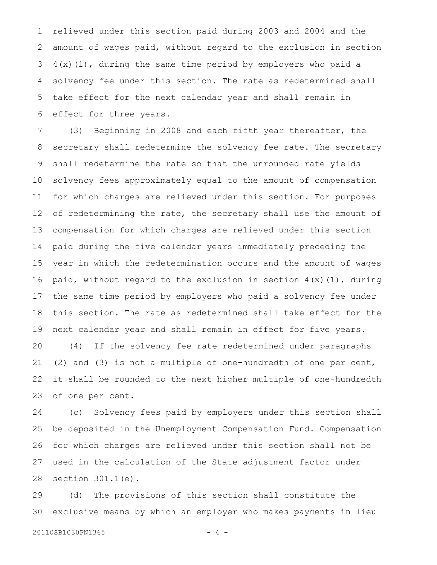relieved under this section paid during 2003 and 2004 and the amount of wages paid, without regard to the exclusion in section 4(x)(1), during the same time period by employers who paid a solvency fee under this section. The rate as redetermined shall take effect for the next calendar year and shall remain in effect for three years. 1 2 3 4 5 6

(3) Beginning in 2008 and each fifth year thereafter, the secretary shall redetermine the solvency fee rate. The secretary shall redetermine the rate so that the unrounded rate yields solvency fees approximately equal to the amount of compensation for which charges are relieved under this section. For purposes of redetermining the rate, the secretary shall use the amount of compensation for which charges are relieved under this section paid during the five calendar years immediately preceding the year in which the redetermination occurs and the amount of wages paid, without regard to the exclusion in section  $4(x)(1)$ , during the same time period by employers who paid a solvency fee under this section. The rate as redetermined shall take effect for the next calendar year and shall remain in effect for five years. (4) If the solvency fee rate redetermined under paragraphs (2) and (3) is not a multiple of one-hundredth of one per cent, it shall be rounded to the next higher multiple of one-hundredth of one per cent. 7 8 9 10 11 12 13 14 15 16 17 18 19 20 21 22 23

(c) Solvency fees paid by employers under this section shall be deposited in the Unemployment Compensation Fund. Compensation for which charges are relieved under this section shall not be used in the calculation of the State adjustment factor under section 301.1(e). 24 25 26 27 28

(d) The provisions of this section shall constitute the exclusive means by which an employer who makes payments in lieu 29 30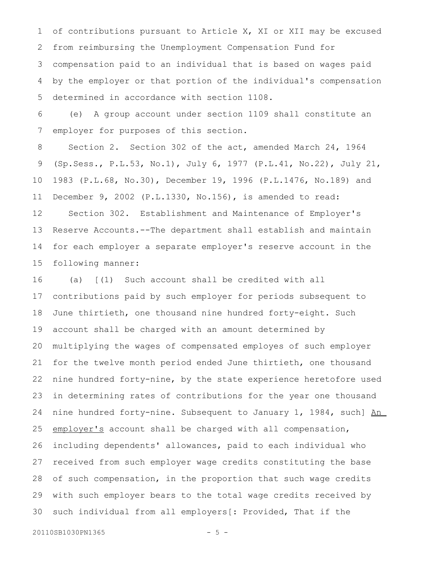of contributions pursuant to Article X, XI or XII may be excused from reimbursing the Unemployment Compensation Fund for compensation paid to an individual that is based on wages paid by the employer or that portion of the individual's compensation determined in accordance with section 1108. 1 2 3 4 5

(e) A group account under section 1109 shall constitute an employer for purposes of this section. 6 7

Section 2. Section 302 of the act, amended March 24, 1964 (Sp.Sess., P.L.53, No.1), July 6, 1977 (P.L.41, No.22), July 21, 1983 (P.L.68, No.30), December 19, 1996 (P.L.1476, No.189) and December 9, 2002 (P.L.1330, No.156), is amended to read: Section 302. Establishment and Maintenance of Employer's Reserve Accounts.--The department shall establish and maintain for each employer a separate employer's reserve account in the following manner: 8 9 10 11 12 13 14 15

(a) [(1) Such account shall be credited with all contributions paid by such employer for periods subsequent to June thirtieth, one thousand nine hundred forty-eight. Such account shall be charged with an amount determined by multiplying the wages of compensated employes of such employer for the twelve month period ended June thirtieth, one thousand nine hundred forty-nine, by the state experience heretofore used in determining rates of contributions for the year one thousand nine hundred forty-nine. Subsequent to January 1, 1984, such] An employer's account shall be charged with all compensation, including dependents' allowances, paid to each individual who received from such employer wage credits constituting the base of such compensation, in the proportion that such wage credits with such employer bears to the total wage credits received by such individual from all employers[: Provided, That if the 16 17 18 19 20 21 22 23 24 25 26 27 28 29 30

```
20110SB1030PN1365 - 5 -
```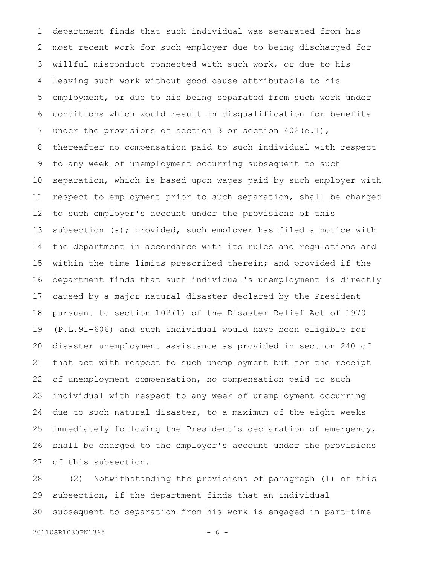department finds that such individual was separated from his most recent work for such employer due to being discharged for willful misconduct connected with such work, or due to his leaving such work without good cause attributable to his employment, or due to his being separated from such work under conditions which would result in disqualification for benefits under the provisions of section 3 or section 402(e.1), thereafter no compensation paid to such individual with respect to any week of unemployment occurring subsequent to such separation, which is based upon wages paid by such employer with respect to employment prior to such separation, shall be charged to such employer's account under the provisions of this subsection (a); provided, such employer has filed a notice with the department in accordance with its rules and regulations and within the time limits prescribed therein; and provided if the department finds that such individual's unemployment is directly caused by a major natural disaster declared by the President pursuant to section 102(1) of the Disaster Relief Act of 1970 (P.L.91-606) and such individual would have been eligible for disaster unemployment assistance as provided in section 240 of that act with respect to such unemployment but for the receipt of unemployment compensation, no compensation paid to such individual with respect to any week of unemployment occurring due to such natural disaster, to a maximum of the eight weeks immediately following the President's declaration of emergency, shall be charged to the employer's account under the provisions of this subsection. 1 2 3 4 5 6 7 8 9 10 11 12 13 14 15 16 17 18 19 20 21 22 23 24 25 26 27

(2) Notwithstanding the provisions of paragraph (1) of this subsection, if the department finds that an individual subsequent to separation from his work is engaged in part-time 28 29 30

```
20110SB1030PN1365 - 6 -
```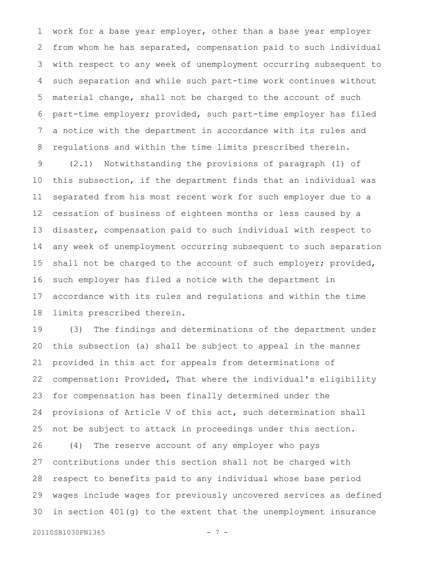work for a base year employer, other than a base year employer from whom he has separated, compensation paid to such individual with respect to any week of unemployment occurring subsequent to such separation and while such part-time work continues without material change, shall not be charged to the account of such part-time employer; provided, such part-time employer has filed a notice with the department in accordance with its rules and regulations and within the time limits prescribed therein. 1 2 3 4 5 6 7 8

(2.1) Notwithstanding the provisions of paragraph (1) of this subsection, if the department finds that an individual was separated from his most recent work for such employer due to a cessation of business of eighteen months or less caused by a disaster, compensation paid to such individual with respect to any week of unemployment occurring subsequent to such separation shall not be charged to the account of such employer; provided, such employer has filed a notice with the department in accordance with its rules and regulations and within the time limits prescribed therein. 9 10 11 12 13 14 15 16 17 18

(3) The findings and determinations of the department under this subsection (a) shall be subject to appeal in the manner provided in this act for appeals from determinations of compensation: Provided, That where the individual's eligibility for compensation has been finally determined under the provisions of Article V of this act, such determination shall not be subject to attack in proceedings under this section. (4) The reserve account of any employer who pays contributions under this section shall not be charged with respect to benefits paid to any individual whose base period wages include wages for previously uncovered services as defined in section 401(g) to the extent that the unemployment insurance 19 20 21 22 23 24 25 26 27 28 29 30

```
20110SB1030PN1365 - 7 -
```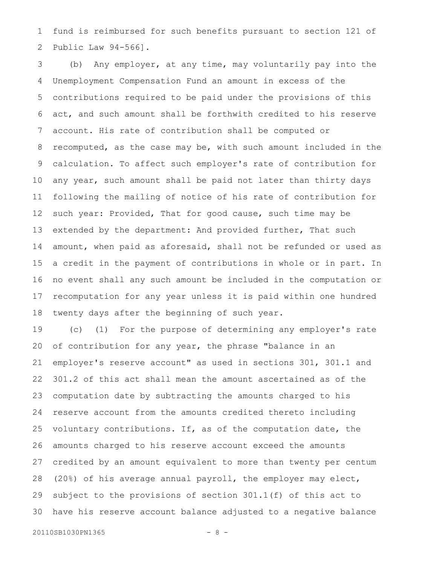fund is reimbursed for such benefits pursuant to section 121 of Public Law 94-566]. 1 2

(b) Any employer, at any time, may voluntarily pay into the Unemployment Compensation Fund an amount in excess of the contributions required to be paid under the provisions of this act, and such amount shall be forthwith credited to his reserve account. His rate of contribution shall be computed or recomputed, as the case may be, with such amount included in the calculation. To affect such employer's rate of contribution for any year, such amount shall be paid not later than thirty days following the mailing of notice of his rate of contribution for such year: Provided, That for good cause, such time may be extended by the department: And provided further, That such amount, when paid as aforesaid, shall not be refunded or used as a credit in the payment of contributions in whole or in part. In no event shall any such amount be included in the computation or recomputation for any year unless it is paid within one hundred twenty days after the beginning of such year. 3 4 5 6 7 8 9 10 11 12 13 14 15 16 17 18

(c) (1) For the purpose of determining any employer's rate of contribution for any year, the phrase "balance in an employer's reserve account" as used in sections 301, 301.1 and 301.2 of this act shall mean the amount ascertained as of the computation date by subtracting the amounts charged to his reserve account from the amounts credited thereto including voluntary contributions. If, as of the computation date, the amounts charged to his reserve account exceed the amounts credited by an amount equivalent to more than twenty per centum (20%) of his average annual payroll, the employer may elect, subject to the provisions of section 301.1(f) of this act to have his reserve account balance adjusted to a negative balance 19 20 21 22 23 24 25 26 27 28 29 30

```
20110SB1030PN1365 - 8 -
```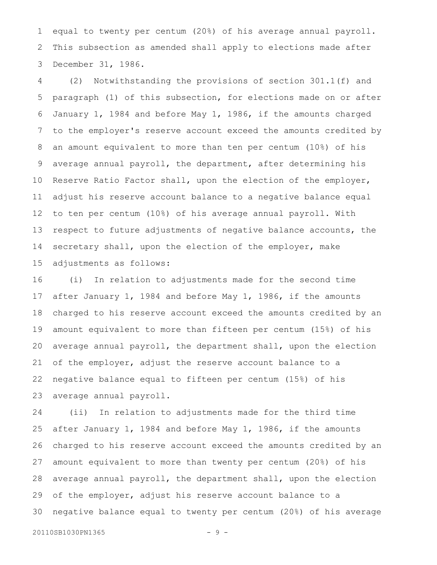equal to twenty per centum (20%) of his average annual payroll. This subsection as amended shall apply to elections made after December 31, 1986. 1 2 3

(2) Notwithstanding the provisions of section 301.1(f) and paragraph (1) of this subsection, for elections made on or after January 1, 1984 and before May 1, 1986, if the amounts charged to the employer's reserve account exceed the amounts credited by an amount equivalent to more than ten per centum (10%) of his average annual payroll, the department, after determining his Reserve Ratio Factor shall, upon the election of the employer, adjust his reserve account balance to a negative balance equal to ten per centum (10%) of his average annual payroll. With respect to future adjustments of negative balance accounts, the secretary shall, upon the election of the employer, make adjustments as follows: 4 5 6 7 8 9 10 11 12 13 14 15

(i) In relation to adjustments made for the second time after January 1, 1984 and before May 1, 1986, if the amounts charged to his reserve account exceed the amounts credited by an amount equivalent to more than fifteen per centum (15%) of his average annual payroll, the department shall, upon the election of the employer, adjust the reserve account balance to a negative balance equal to fifteen per centum (15%) of his average annual payroll. 16 17 18 19 20 21 22 23

(ii) In relation to adjustments made for the third time after January 1, 1984 and before May 1, 1986, if the amounts charged to his reserve account exceed the amounts credited by an amount equivalent to more than twenty per centum (20%) of his average annual payroll, the department shall, upon the election of the employer, adjust his reserve account balance to a negative balance equal to twenty per centum (20%) of his average 24 25 26 27 28 29 30

20110SB1030PN1365 - 9 -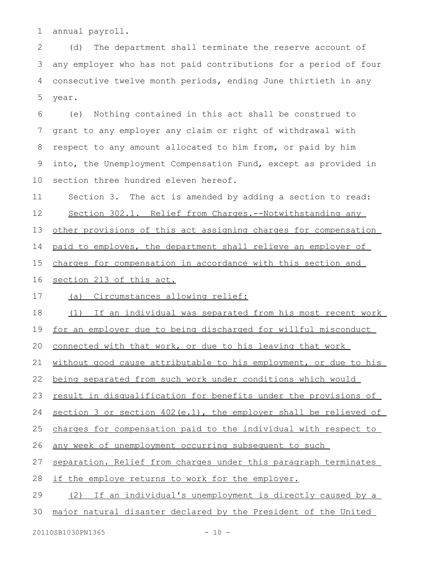annual payroll. 1

(d) The department shall terminate the reserve account of any employer who has not paid contributions for a period of four consecutive twelve month periods, ending June thirtieth in any year. 2 3 4 5

(e) Nothing contained in this act shall be construed to grant to any employer any claim or right of withdrawal with respect to any amount allocated to him from, or paid by him into, the Unemployment Compensation Fund, except as provided in section three hundred eleven hereof. 6 7 8 9 10

Section 3. The act is amended by adding a section to read: 11

Section 302.1. Relief from Charges.--Notwithstanding any 12

other provisions of this act assigning charges for compensation 13

paid to employes, the department shall relieve an employer of 14

charges for compensation in accordance with this section and 15

section 213 of this act. 16

(a) Circumstances allowing relief: 17

(1) If an individual was separated from his most recent work 18

for an employer due to being discharged for willful misconduct 19

connected with that work, or due to his leaving that work 20

without good cause attributable to his employment, or due to his 21

being separated from such work under conditions which would 22

result in disqualification for benefits under the provisions of 23

section 3 or section 402(e.1), the employer shall be relieved of 24

charges for compensation paid to the individual with respect to 25

any week of unemployment occurring subsequent to such 26

separation. Relief from charges under this paragraph terminates 27

if the employe returns to work for the employer. 28

(2) If an individual's unemployment is directly caused by a 29

major natural disaster declared by the President of the United 30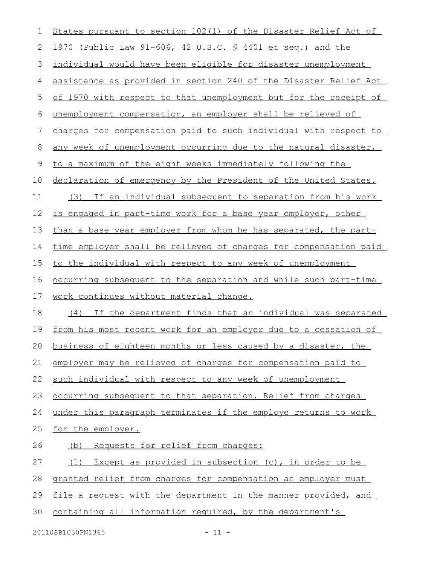| 1  | States pursuant to section 102(1) of the Disaster Relief Act of        |
|----|------------------------------------------------------------------------|
| 2  | 1970 (Public Law 91-606, 42 U.S.C. § 4401 et seq.) and the             |
| 3  | individual would have been eligible for disaster unemployment          |
| 4  | assistance as provided in section 240 of the Disaster Relief Act       |
| 5  | of 1970 with respect to that unemployment but for the receipt of       |
| 6  | unemployment compensation, an employer shall be relieved of            |
| 7  | charges for compensation paid to such individual with respect to       |
| 8  | any week of unemployment occurring due to the natural disaster,        |
| 9  | to a maximum of the eight weeks immediately following the              |
| 10 | declaration of emergency by the President of the United States.        |
| 11 | If an individual subsequent to separation from his work<br>(3)         |
| 12 | is engaged in part-time work for a base year employer, other           |
| 13 | than a base year employer from whom he has separated, the part-        |
| 14 | time employer shall be relieved of charges for compensation paid       |
| 15 | to the individual with respect to any week of unemployment             |
| 16 | <u>occurring subsequent to the separation and while such part-time</u> |
| 17 | work continues without material change.                                |
| 18 | (4) If the department finds that an individual was separated           |
| 19 | from his most recent work for an employer due to a cessation of        |
|    | 20 business of eighteen months or less caused by a disaster, the       |
| 21 | employer may be relieved of charges for compensation paid to           |
| 22 | such individual with respect to any week of unemployment               |
| 23 | occurring subsequent to that separation. Relief from charges           |
| 24 | under this paragraph terminates if the employe returns to work         |
| 25 | for the employer.                                                      |
| 26 | (b) Requests for relief from charges:                                  |
| 27 | (1) Except as provided in subsection (c), in order to be               |
| 28 | granted relief from charges for compensation an employer must          |
| 29 | file a request with the department in the manner provided, and         |
|    |                                                                        |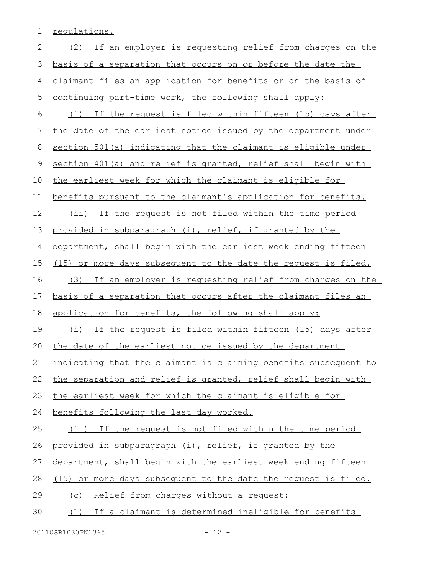1 regulations.

| $\mathbf{2}$ | (2) If an employer is requesting relief from charges on the     |
|--------------|-----------------------------------------------------------------|
| 3            | basis of a separation that occurs on or before the date the     |
| 4            | claimant files an application for benefits or on the basis of   |
| 5            | continuing part-time work, the following shall apply:           |
| 6            | (i) If the request is filed within fifteen (15) days after      |
| 7            | the date of the earliest notice issued by the department under  |
| 8            | section 501(a) indicating that the claimant is eligible under   |
| 9            | section 401(a) and relief is granted, relief shall begin with   |
| 10           | the earliest week for which the claimant is eligible for        |
| 11           | benefits pursuant to the claimant's application for benefits.   |
| 12           | (ii) If the request is not filed within the time period         |
| 13           | provided in subparagraph (i), relief, if granted by the         |
| 14           | department, shall begin with the earliest week ending fifteen   |
| 15           | (15) or more days subsequent to the date the request is filed.  |
| 16           | (3) If an employer is requesting relief from charges on the     |
|              |                                                                 |
| 17           | basis of a separation that occurs after the claimant files an   |
| 18           | application for benefits, the following shall apply:            |
| 19           | (i) If the request is filed within fifteen (15) days after      |
| 20           | the date of the earliest notice issued by the department        |
|              | indicating that the claimant is claiming benefits subsequent to |
| 22           | the separation and relief is granted, relief shall begin with   |
| 21<br>23     | the earliest week for which the claimant is eligible for        |
| 24           | benefits following the last day worked.                         |
| 25           | (ii) If the request is not filed within the time period         |
| 26           | provided in subparagraph (i), relief, if granted by the         |
| 27           | department, shall begin with the earliest week ending fifteen   |
| 28           | (15) or more days subsequent to the date the request is filed.  |
| 29           | (c) Relief from charges without a request:                      |
| 30           | (1) If a claimant is determined ineligible for benefits         |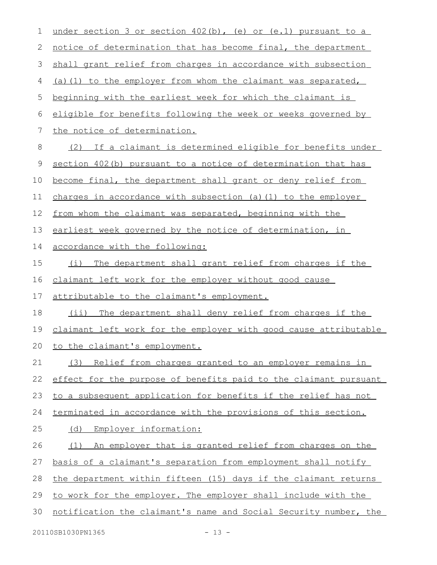| $\mathbf 1$ | under section 3 or section $402(b)$ , (e) or (e.1) pursuant to a |
|-------------|------------------------------------------------------------------|
| 2           | notice of determination that has become final, the department    |
| 3           | shall grant relief from charges in accordance with subsection    |
| 4           | (a) (1) to the employer from whom the claimant was separated,    |
| 5           | beginning with the earliest week for which the claimant is       |
| 6           | eligible for benefits following the week or weeks governed by    |
| 7           | the notice of determination.                                     |
| 8           | If a claimant is determined eligible for benefits under<br>(2)   |
| 9           | section 402(b) pursuant to a notice of determination that has    |
| 10          | become final, the department shall grant or deny relief from     |
| 11          | charges in accordance with subsection (a) (1) to the employer    |
| 12          | from whom the claimant was separated, beginning with the         |
| 13          | earliest week governed by the notice of determination, in        |
| 14          | accordance with the following:                                   |
| 15          | The department shall grant relief from charges if the<br>(i)     |
| 16          | claimant left work for the employer without good cause           |
| 17          | attributable to the claimant's employment.                       |
| 18          | The department shall deny relief from charges if the<br>$(i$ i)  |
| 19          | claimant left work for the employer with good cause attributable |
| 20          | to the claimant's employment.                                    |
| 21          | Relief from charges granted to an employer remains in<br>(3)     |
| 22          | effect for the purpose of benefits paid to the claimant pursuant |
| 23          | to a subsequent application for benefits if the relief has not   |
| 24          | terminated in accordance with the provisions of this section.    |
| 25          | Employer information:<br>(d)                                     |
| 26          | An employer that is granted relief from charges on the<br>(1)    |
| 27          | basis of a claimant's separation from employment shall notify    |
| 28          | the department within fifteen (15) days if the claimant returns  |
| 29          | to work for the employer. The employer shall include with the    |
| 30          | notification the claimant's name and Social Security number, the |
|             |                                                                  |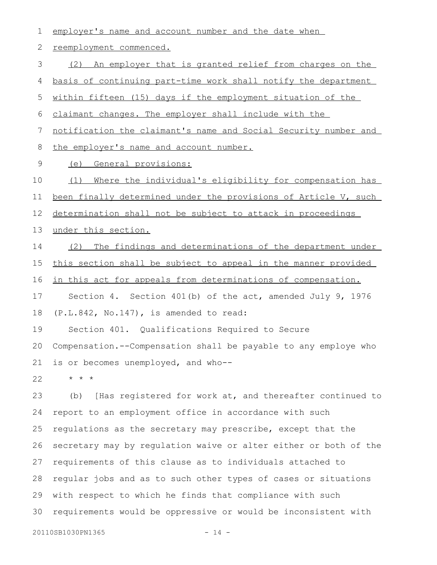| 1              | employer's name and account number and the date when             |
|----------------|------------------------------------------------------------------|
| 2              | reemployment commenced.                                          |
| $\mathfrak{Z}$ | (2) An employer that is granted relief from charges on the       |
| 4              | basis of continuing part-time work shall notify the department   |
| 5              | within fifteen (15) days if the employment situation of the      |
| 6              | claimant changes. The employer shall include with the            |
| 7              | notification the claimant's name and Social Security number and  |
| 8              | the employer's name and account number.                          |
| 9              | General provisions:<br>(e)                                       |
| 10             | Where the individual's eligibility for compensation has<br>(1)   |
| 11             | been finally determined under the provisions of Article V, such  |
| 12             | determination shall not be subject to attack in proceedings      |
| 13             | under this section.                                              |
| 14             | (2) The findings and determinations of the department under      |
| 15             | this section shall be subject to appeal in the manner provided   |
| 16             | in this act for appeals from determinations of compensation.     |
| 17             | Section 4. Section 401(b) of the act, amended July 9, 1976       |
|                |                                                                  |
| 18             | (P.L.842, No.147), is amended to read:                           |
| 19             | Section 401. Qualifications Required to Secure                   |
| 20             | Compensation.--Compensation shall be payable to any employe who  |
| 21             | is or becomes unemployed, and who--                              |
| 22             | $\star$ $\star$ $\star$                                          |
| 23             | [Has registered for work at, and thereafter continued to<br>(b)  |
| 24             | report to an employment office in accordance with such           |
| 25             | regulations as the secretary may prescribe, except that the      |
| 26             | secretary may by regulation waive or alter either or both of the |
| 27             | requirements of this clause as to individuals attached to        |
| 28             | regular jobs and as to such other types of cases or situations   |
| 29             | with respect to which he finds that compliance with such         |

20110SB1030PN1365 - 14 -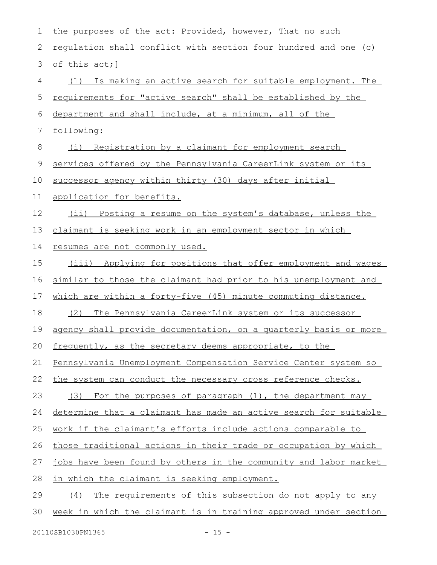| 1  | the purposes of the act: Provided, however, That no such            |
|----|---------------------------------------------------------------------|
| 2  | regulation shall conflict with section four hundred and one (c)     |
| 3  | of this act; ]                                                      |
| 4  | (1) Is making an active search for suitable employment. The         |
| 5  | <u>requirements for "active search" shall be established by the</u> |
| 6  | department and shall include, at a minimum, all of the              |
| 7  | following:                                                          |
| 8  | (i) Registration by a claimant for employment search                |
| 9  | services offered by the Pennsylvania CareerLink system or its       |
| 10 | successor agency within thirty (30) days after initial              |
| 11 | application for benefits.                                           |
| 12 | (ii) Posting a resume on the system's database, unless the          |
| 13 | claimant is seeking work in an employment sector in which           |
| 14 | resumes are not commonly used.                                      |
| 15 | (iii) Applying for positions that offer employment and wages        |
| 16 | similar to those the claimant had prior to his unemployment and     |
| 17 | which are within a forty-five (45) minute commuting distance.       |
| 18 | The Pennsylvania CareerLink system or its successor<br>(2)          |
| 19 | agency shall provide documentation, on a quarterly basis or more    |
| 20 | frequently, as the secretary deems appropriate, to the              |
| 21 | Pennsylvania Unemployment Compensation Service Center system so     |
| 22 | the system can conduct the necessary cross reference checks.        |
| 23 | (3) For the purposes of paragraph (1), the department may           |
| 24 | determine that a claimant has made an active search for suitable    |
| 25 | work if the claimant's efforts include actions comparable to        |
| 26 | those traditional actions in their trade or occupation by which     |
| 27 | jobs have been found by others in the community and labor market    |
| 28 | in which the claimant is seeking employment.                        |
| 29 | (4) The requirements of this subsection do not apply to any         |
| 30 | week in which the claimant is in training approved under section    |
|    |                                                                     |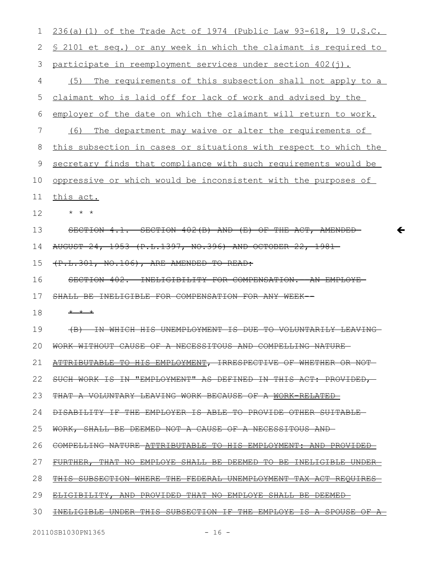| 1             | $236(a) (1)$ of the Trade Act of 1974 (Public Law 93-618, 19 U.S.C.                    |
|---------------|----------------------------------------------------------------------------------------|
| 2             | <u>S 2101 et seq.) or any week in which the claimant is required to</u>                |
| 3             | participate in reemployment services under section 402(j).                             |
| 4             | The requirements of this subsection shall not apply to a<br>(5)                        |
| 5             | claimant who is laid off for lack of work and advised by the                           |
| 6             | employer of the date on which the claimant will return to work.                        |
| 7             | The department may waive or alter the requirements of<br>(6)                           |
| 8             | this subsection in cases or situations with respect to which the                       |
| $\mathcal{G}$ | secretary finds that compliance with such requirements would be                        |
| 10            | oppressive or which would be inconsistent with the purposes of                         |
| 11            | this act.                                                                              |
| 12            |                                                                                        |
| 13            | SECTION 402(B) AND (E) OF THE ACT, AMENDED<br><del>SECTION</del><br>4. <del>1. -</del> |
| 14            | AUGUST 24, 1953 (P.L.1397, NO.396) AND OCTOBER 22,<br>$-1981-$                         |
| 15            | (P.L.301, NO.106), ARE AMENDED TO READ:                                                |
| 16            | INELIGIBILITY FOR COMPENSATION.<br>SECTION 402.<br>-AN-<br><del>FMPLC</del>            |
| 17            | SHALL BE INELIGIBLE FOR COMPENSATION FOR ANY WEEK                                      |
| 18            | $+$ $+$ $+$                                                                            |
| 19            | 千光<br>WHICH HIS UNEMPLOYMENT<br>⊞A<br><del>-VOLUNTARILY</del><br>푸유<br>ਜਮਜ             |
| 20            | <del>COMPEDIING NATUKE</del><br><del>aburraanum</del>                                  |
| 21            | ATTRIBUTABLE TO HIS EMPLOYMENT, IRRESPECTIVE OF WHETHER                                |
| 22            | IS IN "EMPLOYMENT" AS DEFINED IN THIS ACT: PROVIDED,                                   |
| 23            | THAT A VOLUNTARY LEAVING WORK BECAUSE OF A WORK-RELATED                                |
| 24            | DISABILITY IF THE EMPLOYER IS ABLE TO PROVIDE OTHER SUITABLE                           |
| 25            | WORK, SHALL BE DEEMED NOT A CAUSE OF A NECESSITOUS AND                                 |
| 26            | COMPELLING NATURE ATTRIBUTABLE TO HIS EMPLOYMENT: AND PROVIDED                         |
| 27            | FURTHER, THAT NO EMPLOYE SHALL BE DEEMED TO BE INELIGIBLE UNDER                        |
| 28            | THIS SUBSECTION WHERE THE FEDERAL UNEMPLOYMENT TAX ACT REQUIRES                        |
| 29            | ELIGIBILITY, AND PROVIDED THAT NO EMPLOYE SHALL BE DEEMED-                             |
|               |                                                                                        |

 $\leftarrow$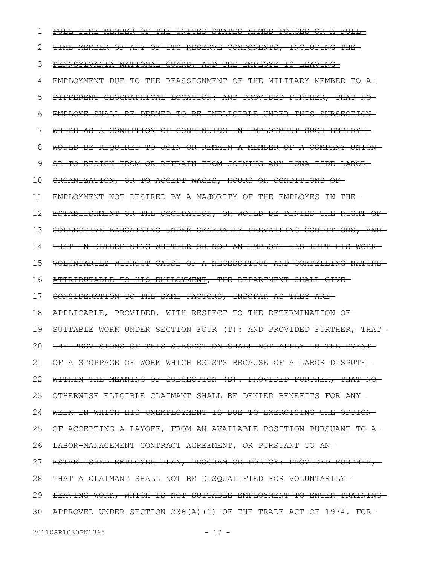| 1  | FULL-TIME MEMBER OF THE UNITED STATES ARMED FORCES OR A FULL-             |
|----|---------------------------------------------------------------------------|
| 2  | TIME MEMBER OF ANY OF ITS RESERVE COMPONENTS, INCLUDING THE               |
| 3  | PENNSYLVANIA NATIONAL GUARD, AND THE EMPLOYE IS LEAVING                   |
| 4  | EMPLOYMENT DUE TO THE REASSIGNMENT OF THE MILITARY MEMBER TO A            |
| 5  | DIFFERENT GEOGRAPHICAL LOCATION: AND PROVIDED FURTHER, THAT NO-           |
| 6  | EMPLOYE SHALL BE DEEMED TO BE INELIGIBLE UNDER THIS SUBSECTION-           |
| 7  | WHERE AS A CONDITION OF CONTINUING IN EMPLOYMENT SUCH EMPLOYE-            |
| 8  | WOULD BE REOUIRED TO JOIN OR REMAIN A MEMBER OF A COMPANY UNION-          |
| 9  | <del>or to resign from or refrain from Joining any bona fide labor-</del> |
| 10 | ORGANIZATION, OR TO ACCEPT WAGES, HOURS OR CONDITIONS OF-                 |
| 11 | EMPLOYMENT NOT DESIRED BY A MAJORITY OF THE EMPLOYES IN THE               |
| 12 | ESTABLISHMENT OR THE OCCUPATION, OR WOULD BE DENIED THE RIGHT OF-         |
| 13 | COLLECTIVE BARGAINING UNDER GENERALLY PREVAILING CONDITIONS, AND          |
| 14 | THAT IN DETERMINING WHETHER OR NOT AN EMPLOYE HAS LEFT HIS WORK-          |
| 15 | VOLUNTARILY WITHOUT CAUSE OF A NECESSITOUS AND COMPELLING NATURE          |
| 16 | ATTRIBUTABLE TO HIS EMPLOYMENT, THE DEPARTMENT SHALL GIVE-                |
| 17 | CONSIDERATION TO THE SAME FACTORS, INSOFAR AS THEY ARE-                   |
| 18 | APPLICABLE, PROVIDED, WITH RESPECT TO THE DETERMINATION OF-               |
| 19 | SUITABLE WORK UNDER SECTION FOUR (T): AND PROVIDED FURTHER, THAT-         |
| 20 | THE PROVISIONS OF THIS SUBSECTION SHALL NOT APPLY IN THE EVENT-           |
| 21 | OF A STOPPAGE OF WORK WHICH EXISTS BECAUSE OF A LABOR DISPUTE-            |
| 22 | WITHIN THE MEANING OF SUBSECTION (D). PROVIDED FURTHER, THAT NO           |
| 23 | OTHERWISE ELIGIBLE CLAIMANT SHALL BE DENIED BENEFITS FOR ANY-             |
| 24 | WEEK IN WHICH HIS UNEMPLOYMENT IS DUE TO EXERCISING THE OPTION-           |
| 25 | OF ACCEPTING A LAYOFF, FROM AN AVAILABLE POSITION PURSUANT TO A           |
| 26 | LABOR MANAGEMENT CONTRACT AGREEMENT, OR PURSUANT TO AN-                   |
| 27 | ESTABLISHED EMPLOYER PLAN, PROGRAM OR POLICY: PROVIDED FURTHER,           |
| 28 | THAT A CLAIMANT SHALL NOT BE DISOUALIFIED FOR VOLUNTARILY-                |
| 29 | LEAVING WORK, WHICH IS NOT SUITABLE EMPLOYMENT TO ENTER TRAINING          |
| 30 | APPROVED UNDER SECTION 236(A)(1) OF THE TRADE ACT OF 1974. FOR-           |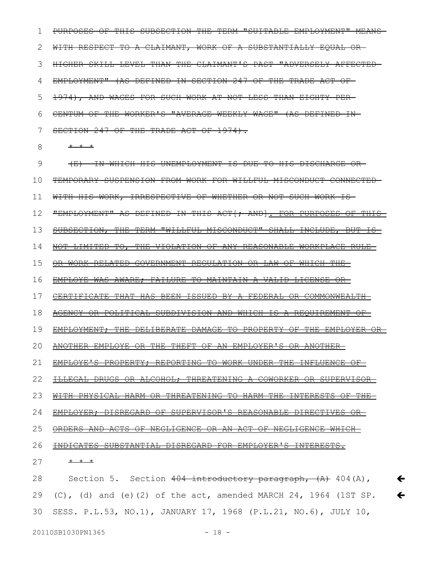PURPOSES OF THIS SUBSECTION THE TERM "SUITABLE EMPLOYMENT" MEANS WITH RESPECT TO A CLAIMANT, WORK OF A SUBSTANTIALLY EQUAL OR-HIGHER SKILL LEVEL THAN THE CLAIMANT'S PAST "ADVERSELY AFFECTED EMPLOYMENT" (AS DEFINED IN SECTION 247 OF THE TRADE ACT OF 1974), AND WAGES FOR SUCH WORK AT NOT LESS THAN EIGHTY PER CENTUM OF THE WORKER'S "AVERAGE WEEKLY WAGE" (AS DEFINED IN SECTION 247 OF THE TRADE ACT OF 1974). 1 2 3 4 5 6 7

\* \* \* 8

(E) IN WHICH HIS UNEMPLOYMENT IS DUE TO HIS DISCHARGE OR TEMPORARY SUSPENSION FROM WORK FOR WILLFUL MISCONDUCT CONNECTED WITH HIS WORK, IRRESPECTIVE OF WHETHER OR NOT SUCH WORK IS-"EMPLOYMENT" AS DEFINED IN THIS ACT[; AND]. FOR PURPOSES OF THIS SUBSECTION, THE TERM "WILLFUL MISCONDUCT" SHALL INCLUDE, BUT IS NOT LIMITED TO, THE VIOLATION OF ANY REASONABLE WORKPLACE RULE OR WORK-RELATED GOVERNMENT REGULATION OR LAW OF WHICH THE EMPLOYE WAS AWARE; FAILURE TO MAINTAIN A VALID LICENSE OR CERTIFICATE THAT HAS BEEN ISSUED BY A FEDERAL OR COMMONWEALTH AGENCY OR POLITICAL SUBDIVISION AND WHICH IS A REQUIREMENT OF EMPLOYMENT; THE DELIBERATE DAMAGE TO PROPERTY OF THE EMPLOYER OR ANOTHER EMPLOYE OR THE THEFT OF AN EMPLOYER'S OR ANOTHER EMPLOYE'S PROPERTY; REPORTING TO WORK UNDER THE INFLUENCE OF ILLEGAL DRUGS OR ALCOHOL; THREATENING A COWORKER OR SUPERVISOR WITH PHYSICAL HARM OR THREATENING TO HARM THE INTERESTS OF THE EMPLOYER; DISREGARD OF SUPERVISOR'S REASONABLE DIRECTIVES OR ORDERS AND ACTS OF NEGLIGENCE OR AN ACT OF NEGLIGENCE WHICH INDICATES SUBSTANTIAL DISREGARD FOR EMPLOYER'S INTERESTS. \* \* \* 9 10 11 12 13 14 15 16 17 18 19 20 21 22 23 24 25 26 27

Section 5. Section  $404$  introductory paragraph,  $(A)$  404(A),  $(C)$ , (d) and (e)(2) of the act, amended MARCH 24, 1964 (1ST SP. SESS. P.L.53, NO.1), JANUARY 17, 1968 (P.L.21, NO.6), JULY 10,  $\leftarrow$  $\leftarrow$ 28 29 30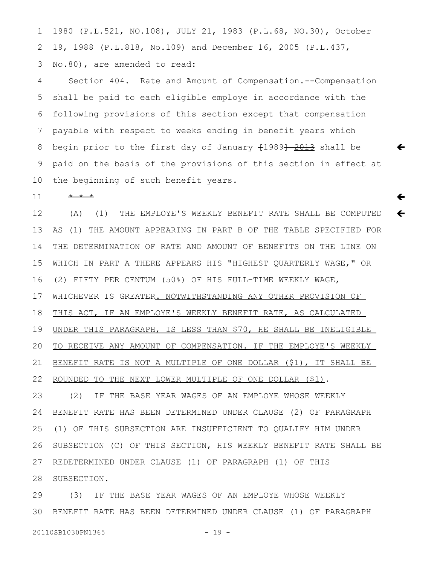1980 (P.L.521, NO.108), JULY 21, 1983 (P.L.68, NO.30), October 19, 1988 (P.L.818, No.109) and December 16, 2005 (P.L.437, No.80), are amended to read: 1 2 3

Section 404. Rate and Amount of Compensation.--Compensation shall be paid to each eligible employe in accordance with the following provisions of this section except that compensation payable with respect to weeks ending in benefit years which begin prior to the first day of January  $+1989$  $+ 2013$  shall be paid on the basis of the provisions of this section in effect at the beginning of such benefit years. 4 5 6 7 8 9 10

 $\leftarrow$ 

 $\leftarrow$ 

 $\leftarrow$ 

\* \* \* 11

(A) (1) THE EMPLOYE'S WEEKLY BENEFIT RATE SHALL BE COMPUTED AS (1) THE AMOUNT APPEARING IN PART B OF THE TABLE SPECIFIED FOR THE DETERMINATION OF RATE AND AMOUNT OF BENEFITS ON THE LINE ON WHICH IN PART A THERE APPEARS HIS "HIGHEST QUARTERLY WAGE," OR (2) FIFTY PER CENTUM (50%) OF HIS FULL-TIME WEEKLY WAGE, WHICHEVER IS GREATER. NOTWITHSTANDING ANY OTHER PROVISION OF THIS ACT, IF AN EMPLOYE'S WEEKLY BENEFIT RATE, AS CALCULATED UNDER THIS PARAGRAPH, IS LESS THAN \$70, HE SHALL BE INELIGIBLE TO RECEIVE ANY AMOUNT OF COMPENSATION. IF THE EMPLOYE'S WEEKLY BENEFIT RATE IS NOT A MULTIPLE OF ONE DOLLAR (\$1), IT SHALL BE ROUNDED TO THE NEXT LOWER MULTIPLE OF ONE DOLLAR (\$1). (2) IF THE BASE YEAR WAGES OF AN EMPLOYE WHOSE WEEKLY 12 13 14 15 16 17 18 19 20 21 22 23

BENEFIT RATE HAS BEEN DETERMINED UNDER CLAUSE (2) OF PARAGRAPH (1) OF THIS SUBSECTION ARE INSUFFICIENT TO QUALIFY HIM UNDER SUBSECTION (C) OF THIS SECTION, HIS WEEKLY BENEFIT RATE SHALL BE REDETERMINED UNDER CLAUSE (1) OF PARAGRAPH (1) OF THIS SUBSECTION. 24 25 26 27 28

(3) IF THE BASE YEAR WAGES OF AN EMPLOYE WHOSE WEEKLY BENEFIT RATE HAS BEEN DETERMINED UNDER CLAUSE (1) OF PARAGRAPH 29 30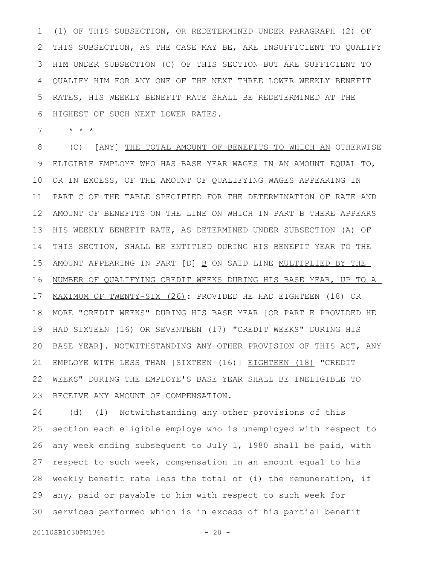(1) OF THIS SUBSECTION, OR REDETERMINED UNDER PARAGRAPH (2) OF THIS SUBSECTION, AS THE CASE MAY BE, ARE INSUFFICIENT TO QUALIFY HIM UNDER SUBSECTION (C) OF THIS SECTION BUT ARE SUFFICIENT TO QUALIFY HIM FOR ANY ONE OF THE NEXT THREE LOWER WEEKLY BENEFIT RATES, HIS WEEKLY BENEFIT RATE SHALL BE REDETERMINED AT THE HIGHEST OF SUCH NEXT LOWER RATES. 1 2 3 4 5 6

\* \* \* 7

(C) [ANY] THE TOTAL AMOUNT OF BENEFITS TO WHICH AN OTHERWISE ELIGIBLE EMPLOYE WHO HAS BASE YEAR WAGES IN AN AMOUNT EQUAL TO, OR IN EXCESS, OF THE AMOUNT OF QUALIFYING WAGES APPEARING IN PART C OF THE TABLE SPECIFIED FOR THE DETERMINATION OF RATE AND AMOUNT OF BENEFITS ON THE LINE ON WHICH IN PART B THERE APPEARS HIS WEEKLY BENEFIT RATE, AS DETERMINED UNDER SUBSECTION (A) OF THIS SECTION, SHALL BE ENTITLED DURING HIS BENEFIT YEAR TO THE AMOUNT APPEARING IN PART [D] B ON SAID LINE MULTIPLIED BY THE NUMBER OF QUALIFYING CREDIT WEEKS DURING HIS BASE YEAR, UP TO A MAXIMUM OF TWENTY-SIX (26): PROVIDED HE HAD EIGHTEEN (18) OR MORE "CREDIT WEEKS" DURING HIS BASE YEAR [OR PART E PROVIDED HE HAD SIXTEEN (16) OR SEVENTEEN (17) "CREDIT WEEKS" DURING HIS BASE YEAR]. NOTWITHSTANDING ANY OTHER PROVISION OF THIS ACT, ANY EMPLOYE WITH LESS THAN [SIXTEEN (16)] EIGHTEEN (18) "CREDIT WEEKS" DURING THE EMPLOYE'S BASE YEAR SHALL BE INELIGIBLE TO RECEIVE ANY AMOUNT OF COMPENSATION. 8 9 10 11 12 13 14 15 16 17 18 19 20 21 22 23

(d) (1) Notwithstanding any other provisions of this section each eligible employe who is unemployed with respect to any week ending subsequent to July 1, 1980 shall be paid, with respect to such week, compensation in an amount equal to his weekly benefit rate less the total of (i) the remuneration, if any, paid or payable to him with respect to such week for services performed which is in excess of his partial benefit 24 25 26 27 28 29 30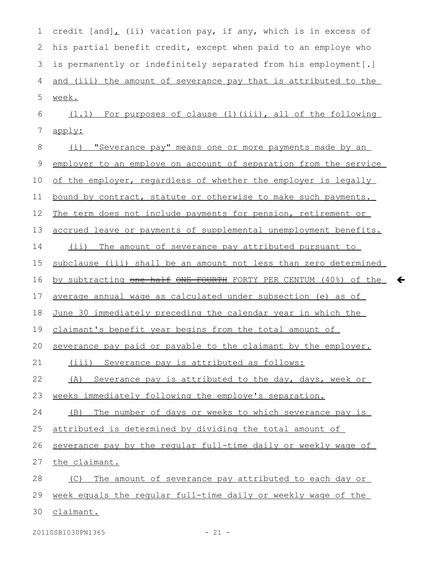credit  $[and]_L$  (ii) vacation pay, if any, which is in excess of his partial benefit credit, except when paid to an employe who is permanently or indefinitely separated from his employment[.] and (iii) the amount of severance pay that is attributed to the week. (1.1) For purposes of clause (1)(iii), all of the following apply: (i) "Severance pay" means one or more payments made by an employer to an employe on account of separation from the service of the employer, regardless of whether the employer is legally bound by contract, statute or otherwise to make such payments. The term does not include payments for pension, retirement or accrued leave or payments of supplemental unemployment benefits. (ii) The amount of severance pay attributed pursuant to subclause (iii) shall be an amount not less than zero determined by subtracting <del>one half ONE FOURTH</del> FORTY PER CENTUM (40%) of the average annual wage as calculated under subsection (e) as of June 30 immediately preceding the calendar year in which the claimant's benefit year begins from the total amount of severance pay paid or payable to the claimant by the employer. (iii) Severance pay is attributed as follows: (A) Severance pay is attributed to the day, days, week or weeks immediately following the employe's separation. (B) The number of days or weeks to which severance pay is attributed is determined by dividing the total amount of severance pay by the regular full-time daily or weekly wage of the claimant. (C) The amount of severance pay attributed to each day or week equals the regular full-time daily or weekly wage of the claimant. 1 2 3 4 5 6 7 8 9 10 11 12 13 14 15 16 17 18 19 20 21 22 23 24 25 26 27 28 29 30

20110SB1030PN1365 - 21 -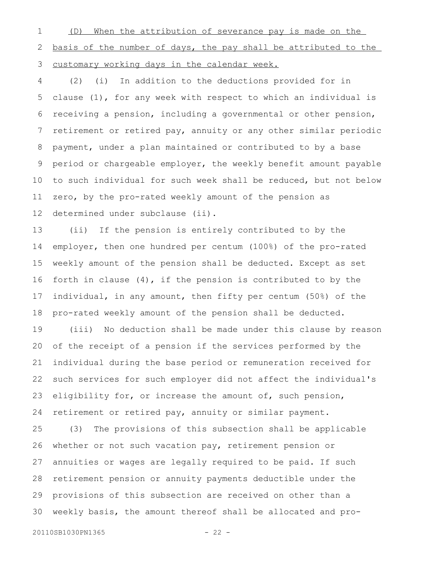(D) When the attribution of severance pay is made on the basis of the number of days, the pay shall be attributed to the customary working days in the calendar week. 1 2 3

(2) (i) In addition to the deductions provided for in clause (1), for any week with respect to which an individual is receiving a pension, including a governmental or other pension, retirement or retired pay, annuity or any other similar periodic payment, under a plan maintained or contributed to by a base period or chargeable employer, the weekly benefit amount payable to such individual for such week shall be reduced, but not below zero, by the pro-rated weekly amount of the pension as determined under subclause (ii). 4 5 6 7 8 9 10 11 12

(ii) If the pension is entirely contributed to by the employer, then one hundred per centum (100%) of the pro-rated weekly amount of the pension shall be deducted. Except as set forth in clause (4), if the pension is contributed to by the individual, in any amount, then fifty per centum (50%) of the pro-rated weekly amount of the pension shall be deducted. 13 14 15 16 17 18

(iii) No deduction shall be made under this clause by reason of the receipt of a pension if the services performed by the individual during the base period or remuneration received for such services for such employer did not affect the individual's eligibility for, or increase the amount of, such pension, retirement or retired pay, annuity or similar payment. 19 20 21 22 23 24

(3) The provisions of this subsection shall be applicable whether or not such vacation pay, retirement pension or annuities or wages are legally required to be paid. If such retirement pension or annuity payments deductible under the provisions of this subsection are received on other than a weekly basis, the amount thereof shall be allocated and pro-25 26 27 28 29 30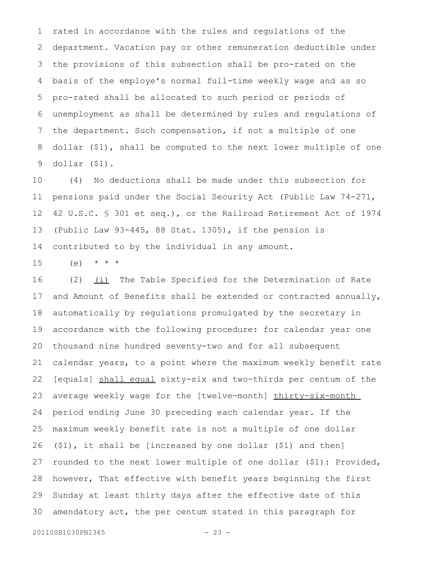rated in accordance with the rules and regulations of the department. Vacation pay or other remuneration deductible under the provisions of this subsection shall be pro-rated on the basis of the employe's normal full-time weekly wage and as so pro-rated shall be allocated to such period or periods of unemployment as shall be determined by rules and regulations of the department. Such compensation, if not a multiple of one dollar (\$1), shall be computed to the next lower multiple of one dollar (\$1). 1 2 3 4 5 6 7 8 9

(4) No deductions shall be made under this subsection for pensions paid under the Social Security Act (Public Law 74-271, 42 U.S.C. § 301 et seq.), or the Railroad Retirement Act of 1974 (Public Law 93-445, 88 Stat. 1305), if the pension is contributed to by the individual in any amount. 10 11 12 13 14

(e)  $* * * *$ 15

(2)  $(i)$  The Table Specified for the Determination of Rate and Amount of Benefits shall be extended or contracted annually, automatically by regulations promulgated by the secretary in accordance with the following procedure: for calendar year one thousand nine hundred seventy-two and for all subsequent calendar years, to a point where the maximum weekly benefit rate [equals] shall equal sixty-six and two-thirds per centum of the average weekly wage for the [twelve-month] thirty-six-month period ending June 30 preceding each calendar year. If the maximum weekly benefit rate is not a multiple of one dollar (\$1), it shall be [increased by one dollar (\$1) and then] rounded to the next lower multiple of one dollar (\$1): Provided, however, That effective with benefit years beginning the first Sunday at least thirty days after the effective date of this amendatory act, the per centum stated in this paragraph for 16 17 18 19 20 21 22 23 24 25 26 27 28 29 30

20110SB1030PN1365 - 23 -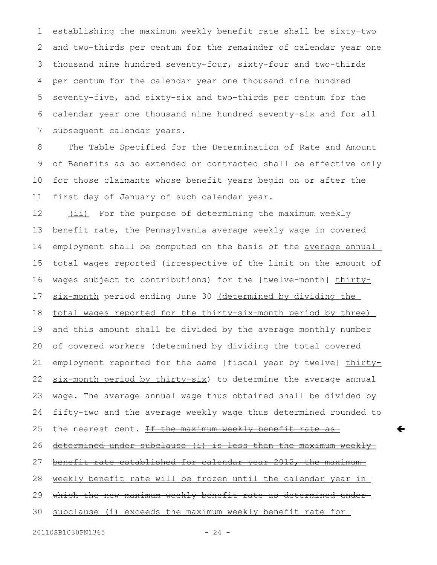establishing the maximum weekly benefit rate shall be sixty-two and two-thirds per centum for the remainder of calendar year one thousand nine hundred seventy-four, sixty-four and two-thirds per centum for the calendar year one thousand nine hundred seventy-five, and sixty-six and two-thirds per centum for the calendar year one thousand nine hundred seventy-six and for all subsequent calendar years. 1 2 3 4 5 6 7

The Table Specified for the Determination of Rate and Amount of Benefits as so extended or contracted shall be effective only for those claimants whose benefit years begin on or after the first day of January of such calendar year. 8 9 10 11

(ii) For the purpose of determining the maximum weekly benefit rate, the Pennsylvania average weekly wage in covered employment shall be computed on the basis of the average annual total wages reported (irrespective of the limit on the amount of wages subject to contributions) for the [twelve-month] thirtysix-month period ending June 30 (determined by dividing the total wages reported for the thirty-six-month period by three) and this amount shall be divided by the average monthly number of covered workers (determined by dividing the total covered employment reported for the same [fiscal year by twelve] thirtysix-month period by thirty-six) to determine the average annual wage. The average annual wage thus obtained shall be divided by fifty-two and the average weekly wage thus determined rounded to the nearest cent. If the maximum weekly benefit rate as determined under subclause (i) is less than the maximum weekly benefit rate established for calendar year 2012, the maximum weekly benefit rate will be frozen until the calendar year in which the new maximum weekly benefit rate as determined undersubclause (i) exceeds the maximum weekly benefit rate for 12 13 14 15 16 17 18 19 20 21 22 23 24 25 26 27 28 29 30

$$
-24-
$$

 $\leftarrow$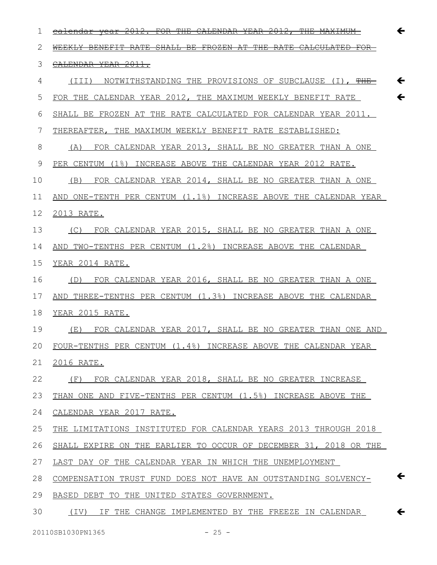| 1  | <del>2012.</del><br><del>2012.</del><br><del>CALENDAR</del><br><del>calendar vear</del> |
|----|-----------------------------------------------------------------------------------------|
| 2  | WEEKLY BENEFTT RATE<br>SHALL BE FROZEN AT THE RATE<br>CALCULATED                        |
| 3  | CALENDAR YEAR 2011.                                                                     |
| 4  | NOTWITHSTANDING THE PROVISIONS OF SUBCLAUSE (I), <del>THE</del><br>(III)                |
| 5  | FOR THE CALENDAR YEAR 2012, THE MAXIMUM WEEKLY BENEFIT RATE                             |
| 6  | SHALL BE FROZEN AT THE RATE CALCULATED FOR CALENDAR YEAR 2011.                          |
| 7  | THEREAFTER, THE MAXIMUM WEEKLY BENEFIT RATE ESTABLISHED:                                |
| 8  | FOR CALENDAR YEAR 2013, SHALL BE NO GREATER THAN A ONE<br>(A)                           |
| 9  | PER CENTUM (1%) INCREASE ABOVE THE CALENDAR YEAR 2012 RATE.                             |
| 10 | FOR CALENDAR YEAR 2014, SHALL BE NO GREATER THAN A ONE<br>(B)                           |
| 11 | AND ONE-TENTH PER CENTUM (1.1%) INCREASE ABOVE THE CALENDAR YEAR                        |
| 12 | 2013 RATE.                                                                              |
| 13 | FOR CALENDAR YEAR 2015, SHALL BE NO GREATER THAN A ONE<br>(C)                           |
| 14 | AND TWO-TENTHS PER CENTUM (1.2%) INCREASE ABOVE THE CALENDAR                            |
| 15 | YEAR 2014 RATE.                                                                         |
| 16 | FOR CALENDAR YEAR 2016, SHALL BE NO GREATER THAN A ONE<br>(D)                           |
| 17 | AND THREE-TENTHS PER CENTUM (1.3%) INCREASE ABOVE THE CALENDAR                          |
| 18 | YEAR 2015 RATE.                                                                         |
| 19 | FOR CALENDAR YEAR 2017, SHALL BE NO GREATER THAN ONE AND<br>(E)                         |
| 20 | FOUR-TENTHS PER CENTUM (1.4%) INCREASE ABOVE THE CALENDAR YEAR                          |
| 21 | 2016 RATE.                                                                              |
| 22 | FOR CALENDAR YEAR 2018, SHALL BE NO GREATER INCREASE<br>(F)                             |
| 23 | THAN ONE AND FIVE-TENTHS PER CENTUM (1.5%) INCREASE ABOVE THE                           |
| 24 | CALENDAR YEAR 2017 RATE.                                                                |
| 25 | THE LIMITATIONS INSTITUTED FOR CALENDAR YEARS 2013 THROUGH 2018                         |
| 26 | SHALL EXPIRE ON THE EARLIER TO OCCUR OF DECEMBER 31, 2018 OR THE                        |
| 27 | LAST DAY OF THE CALENDAR YEAR IN WHICH THE UNEMPLOYMENT                                 |
| 28 | COMPENSATION TRUST FUND DOES NOT HAVE AN OUTSTANDING SOLVENCY-                          |
| 29 | BASED DEBT TO THE UNITED STATES GOVERNMENT.                                             |
| 30 | (IV) IF THE CHANGE IMPLEMENTED BY THE FREEZE IN CALENDAR                                |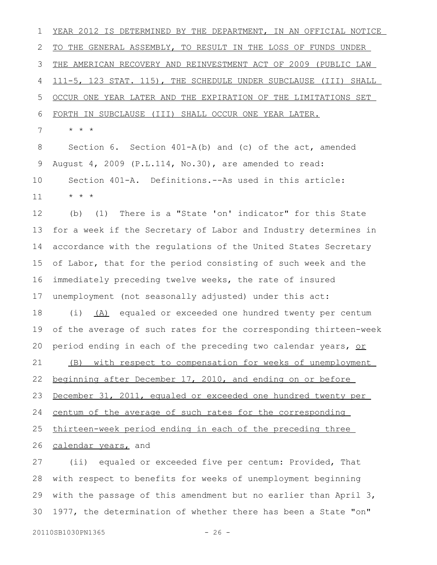YEAR 2012 IS DETERMINED BY THE DEPARTMENT, IN AN OFFICIAL NOTICE TO THE GENERAL ASSEMBLY, TO RESULT IN THE LOSS OF FUNDS UNDER THE AMERICAN RECOVERY AND REINVESTMENT ACT OF 2009 (PUBLIC LAW 111-5, 123 STAT. 115), THE SCHEDULE UNDER SUBCLAUSE (III) SHALL OCCUR ONE YEAR LATER AND THE EXPIRATION OF THE LIMITATIONS SET FORTH IN SUBCLAUSE (III) SHALL OCCUR ONE YEAR LATER. \* \* \* 1 2 3 4 5 6 7

Section 6. Section 401-A(b) and (c) of the act, amended August 4, 2009 (P.L.114, No.30), are amended to read: Section 401-A. Definitions.--As used in this article: \* \* \* 8 9 10 11

(b) (1) There is a "State 'on' indicator" for this State for a week if the Secretary of Labor and Industry determines in accordance with the regulations of the United States Secretary of Labor, that for the period consisting of such week and the immediately preceding twelve weeks, the rate of insured unemployment (not seasonally adjusted) under this act: 12 13 14 15 16 17

(i) (A) equaled or exceeded one hundred twenty per centum of the average of such rates for the corresponding thirteen-week period ending in each of the preceding two calendar years, or (B) with respect to compensation for weeks of unemployment 18 19 20 21

beginning after December 17, 2010, and ending on or before 22

December 31, 2011, equaled or exceeded one hundred twenty per 23

centum of the average of such rates for the corresponding 24

thirteen-week period ending in each of the preceding three 25

calendar years, and 26

(ii) equaled or exceeded five per centum: Provided, That with respect to benefits for weeks of unemployment beginning with the passage of this amendment but no earlier than April 3, 1977, the determination of whether there has been a State "on" 27 28 29 30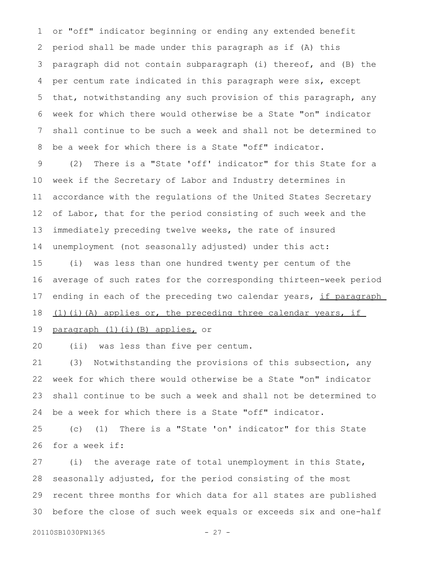or "off" indicator beginning or ending any extended benefit period shall be made under this paragraph as if (A) this paragraph did not contain subparagraph (i) thereof, and (B) the per centum rate indicated in this paragraph were six, except that, notwithstanding any such provision of this paragraph, any week for which there would otherwise be a State "on" indicator shall continue to be such a week and shall not be determined to be a week for which there is a State "off" indicator. 1 2 3 4 5 6 7 8

(2) There is a "State 'off' indicator" for this State for a week if the Secretary of Labor and Industry determines in accordance with the regulations of the United States Secretary of Labor, that for the period consisting of such week and the immediately preceding twelve weeks, the rate of insured unemployment (not seasonally adjusted) under this act: 9 10 11 12 13 14

(i) was less than one hundred twenty per centum of the average of such rates for the corresponding thirteen-week period ending in each of the preceding two calendar years, if paragraph  $(1)$  (i)(A) applies or, the preceding three calendar years, if 15 16 17 18

paragraph (1)(i)(B) applies, or 19

(ii) was less than five per centum. 20

(3) Notwithstanding the provisions of this subsection, any week for which there would otherwise be a State "on" indicator shall continue to be such a week and shall not be determined to be a week for which there is a State "off" indicator. 21 22 23 24

(c) (1) There is a "State 'on' indicator" for this State for a week if: 25 26

(i) the average rate of total unemployment in this State, seasonally adjusted, for the period consisting of the most recent three months for which data for all states are published before the close of such week equals or exceeds six and one-half 27 28 29 30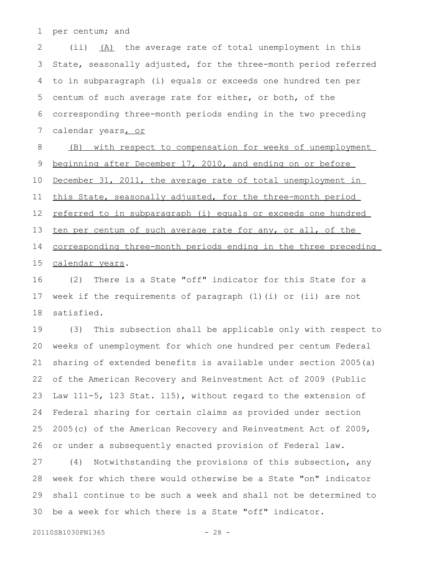per centum; and 1

(ii) (A) the average rate of total unemployment in this State, seasonally adjusted, for the three-month period referred to in subparagraph (i) equals or exceeds one hundred ten per centum of such average rate for either, or both, of the corresponding three-month periods ending in the two preceding calendar years, or 2 3 4 5 6 7

(B) with respect to compensation for weeks of unemployment beginning after December 17, 2010, and ending on or before December 31, 2011, the average rate of total unemployment in this State, seasonally adjusted, for the three-month period referred to in subparagraph (i) equals or exceeds one hundred ten per centum of such average rate for any, or all, of the corresponding three-month periods ending in the three preceding calendar years. 8 9 10 11 12 13 14 15

(2) There is a State "off" indicator for this State for a week if the requirements of paragraph (1)(i) or (ii) are not satisfied. 16 17 18

(3) This subsection shall be applicable only with respect to weeks of unemployment for which one hundred per centum Federal sharing of extended benefits is available under section 2005(a) of the American Recovery and Reinvestment Act of 2009 (Public Law 111-5, 123 Stat. 115), without regard to the extension of Federal sharing for certain claims as provided under section 2005(c) of the American Recovery and Reinvestment Act of 2009, or under a subsequently enacted provision of Federal law. 19 20 21 22 23 24 25 26

(4) Notwithstanding the provisions of this subsection, any week for which there would otherwise be a State "on" indicator shall continue to be such a week and shall not be determined to be a week for which there is a State "off" indicator. 27 28 29 30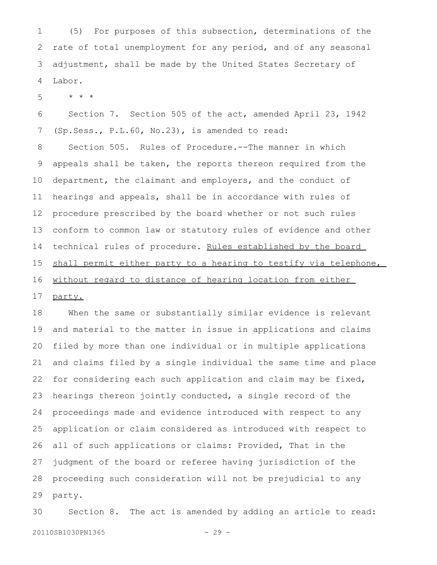(5) For purposes of this subsection, determinations of the rate of total unemployment for any period, and of any seasonal adjustment, shall be made by the United States Secretary of Labor. 1 2 3 4

\* \* \* 5

Section 7. Section 505 of the act, amended April 23, 1942 (Sp.Sess., P.L.60, No.23), is amended to read: 6 7

Section 505. Rules of Procedure.--The manner in which appeals shall be taken, the reports thereon required from the department, the claimant and employers, and the conduct of hearings and appeals, shall be in accordance with rules of procedure prescribed by the board whether or not such rules conform to common law or statutory rules of evidence and other technical rules of procedure. Rules established by the board shall permit either party to a hearing to testify via telephone, without regard to distance of hearing location from either party. 8 9 10 11 12 13 14 15 16 17

When the same or substantially similar evidence is relevant and material to the matter in issue in applications and claims filed by more than one individual or in multiple applications and claims filed by a single individual the same time and place for considering each such application and claim may be fixed, hearings thereon jointly conducted, a single record of the proceedings made and evidence introduced with respect to any application or claim considered as introduced with respect to all of such applications or claims: Provided, That in the judgment of the board or referee having jurisdiction of the proceeding such consideration will not be prejudicial to any party. 18 19 20 21 22 23 24 25 26 27 28 29

Section 8. The act is amended by adding an article to read: 20110SB1030PN1365 - 29 -30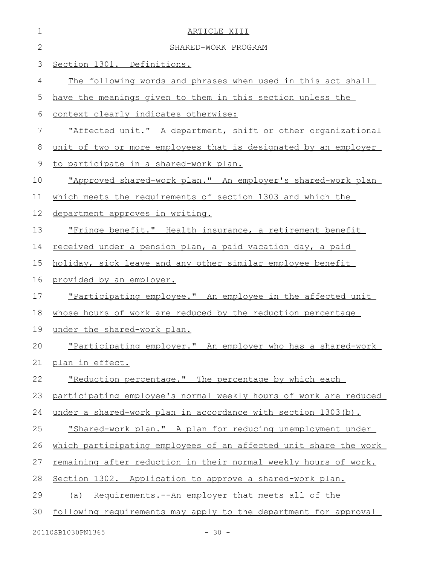| $\mathbf 1$  | ARTICLE XIII                                                     |
|--------------|------------------------------------------------------------------|
| $\mathbf{2}$ | SHARED-WORK PROGRAM                                              |
| 3            | Section 1301. Definitions.                                       |
| 4            | The following words and phrases when used in this act shall      |
| 5            | have the meanings given to them in this section unless the       |
| 6            | context clearly indicates otherwise:                             |
| 7            | "Affected unit." A department, shift or other organizational     |
| 8            | unit of two or more employees that is designated by an employer  |
| 9            | to participate in a shared-work plan.                            |
| 10           | "Approved shared-work plan." An employer's shared-work plan      |
| 11           | which meets the requirements of section 1303 and which the       |
| 12           | department approves in writing.                                  |
| 13           | "Fringe benefit." Health insurance, a retirement benefit         |
| 14           | received under a pension plan, a paid vacation day, a paid       |
| 15           | holiday, sick leave and any other similar employee benefit       |
| 16           | provided by an employer.                                         |
| 17           | "Participating employee." An employee in the affected unit       |
| 18           | whose hours of work are reduced by the reduction percentage      |
| 19           | under the shared-work plan.                                      |
| 20           | "Participating employer." An employer who has a shared-work      |
| 21           | plan in effect.                                                  |
| 22           | "Reduction percentage." The percentage by which each             |
| 23           | participating employee's normal weekly hours of work are reduced |
| 24           | under a shared-work plan in accordance with section 1303(b).     |
| 25           | "Shared-work plan." A plan for reducing unemployment under       |
| 26           | which participating employees of an affected unit share the work |
| 27           | remaining after reduction in their normal weekly hours of work.  |
| 28           | Section 1302. Application to approve a shared-work plan.         |
| 29           | (a) Requirements.--An employer that meets all of the             |
| 30           | following requirements may apply to the department for approval  |
|              | $-30 -$<br>20110SB1030PN1365                                     |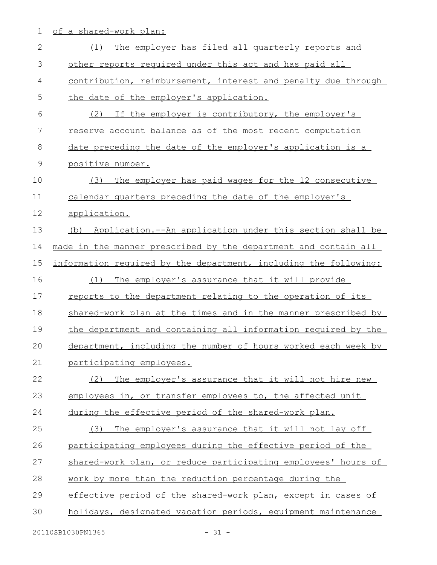1 of a shared-work plan:

| $\mathbf{2}$ | The employer has filed all quarterly reports and<br>(1)          |
|--------------|------------------------------------------------------------------|
| 3            | other reports required under this act and has paid all           |
| 4            | contribution, reimbursement, interest and penalty due through    |
| 5            | the date of the employer's application.                          |
| 6            | If the employer is contributory, the employer's<br>(2)           |
| 7            | reserve account balance as of the most recent computation        |
| 8            | date preceding the date of the employer's application is a       |
| $\mathsf 9$  | positive number.                                                 |
| 10           | (3)<br>The employer has paid wages for the 12 consecutive        |
| 11           | calendar quarters preceding the date of the employer's           |
| 12           | application.                                                     |
| 13           | Application.--An application under this section shall be<br>(b)  |
| 14           | made in the manner prescribed by the department and contain all  |
| 15           | information required by the department, including the following: |
| 16           | The employer's assurance that it will provide<br>(1)             |
| 17           | reports to the department relating to the operation of its       |
| 18           | shared-work plan at the times and in the manner prescribed by    |
| 19           | the department and containing all information required by the    |
| 20           | department, including the number of hours worked each week by    |
| 21           | participating employees.                                         |
| 22           | The employer's assurance that it will not hire new<br>(2)        |
| 23           | employees in, or transfer employees to, the affected unit        |
| 24           | during the effective period of the shared-work plan.             |
| 25           | The employer's assurance that it will not lay off<br>(3)         |
| 26           | participating employees during the effective period of the       |
| 27           | shared-work plan, or reduce participating employees' hours of    |
| 28           | work by more than the reduction percentage during the            |
| 29           | effective period of the shared-work plan, except in cases of     |
| 30           | holidays, designated vacation periods, equipment maintenance     |
|              | 20110SB1030PN1365<br>$-31 -$                                     |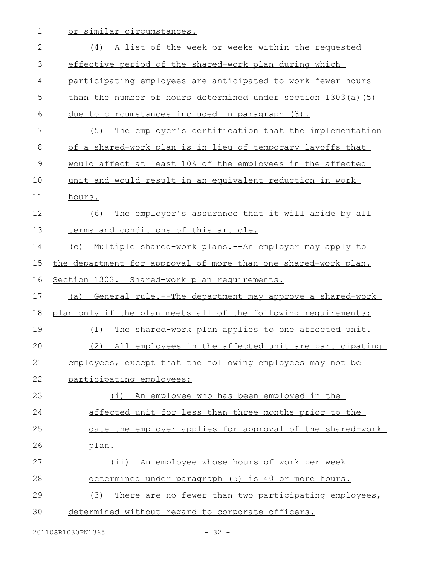1 or similar circumstances.

| $\mathbf{2}$ | (4) A list of the week or weeks within the requested           |
|--------------|----------------------------------------------------------------|
| 3            | effective period of the shared-work plan during which          |
| 4            | participating employees are anticipated to work fewer hours    |
| 5            | than the number of hours determined under section 1303(a) (5)  |
| 6            | due to circumstances included in paragraph (3).                |
| 7            | The employer's certification that the implementation<br>(5)    |
| 8            | of a shared-work plan is in lieu of temporary layoffs that     |
| $\mathsf 9$  | would affect at least 10% of the employees in the affected     |
| 10           | unit and would result in an equivalent reduction in work       |
| 11           | hours.                                                         |
| 12           | The employer's assurance that it will abide by all<br>(6)      |
| 13           | terms and conditions of this article.                          |
| 14           | Multiple shared-work plans.--An employer may apply to<br>(C)   |
| 15           | the department for approval of more than one shared-work plan. |
| 16           | Section 1303. Shared-work plan requirements.                   |
| 17           | General rule.--The department may approve a shared-work<br>(a) |
| 18           | plan only if the plan meets all of the following requirements: |
| 19           | The shared-work plan applies to one affected unit.<br>(1)      |
| 20           | (2)<br>All employees in the affected unit are participating    |
| 21           | employees, except that the following employees may not be      |
| 22           | participating employees:                                       |
| 23           | An employee who has been employed in the<br>(i)                |
| 24           | affected unit for less than three months prior to the          |
| 25           | date the employer applies for approval of the shared-work      |
| 26           | plan.                                                          |
| 27           | (ii) An employee whose hours of work per week                  |
| 28           | determined under paragraph (5) is 40 or more hours.            |
| 29           | There are no fewer than two participating employees,<br>(3)    |
| 30           | determined without regard to corporate officers.               |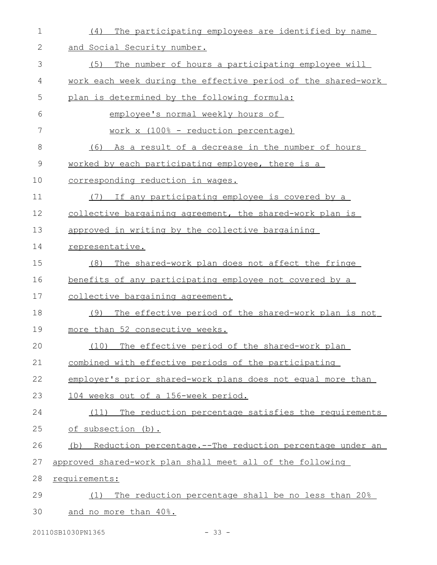| 1  | The participating employees are identified by name<br>(4)         |
|----|-------------------------------------------------------------------|
| 2  | and Social Security number.                                       |
| 3  | (5)<br>The number of hours a participating employee will          |
| 4  | work each week during the effective period of the shared-work     |
| 5  | plan is determined by the following formula:                      |
| 6  | employee's normal weekly hours of                                 |
| 7  | work x (100% - reduction percentage)                              |
| 8  | As a result of a decrease in the number of hours<br>(6)           |
| 9  | worked by each participating employee, there is a                 |
| 10 | corresponding reduction in wages.                                 |
| 11 | If any participating employee is covered by a<br>(7)              |
| 12 | collective bargaining agreement, the shared-work plan is          |
| 13 | approved in writing by the collective bargaining                  |
| 14 | representative.                                                   |
| 15 | The shared-work plan does not affect the fringe<br>(8)            |
| 16 | benefits of any participating employee not covered by a           |
| 17 | collective bargaining agreement.                                  |
| 18 | The effective period of the shared-work plan is not<br>(9)        |
| 19 | more than 52 consecutive weeks.                                   |
| 20 | (10) The effective period of the shared-work plan                 |
| 21 | combined with effective periods of the participating              |
| 22 | employer's prior shared-work plans does not equal more than       |
| 23 | 104 weeks out of a 156-week period.                               |
| 24 | (11) The reduction percentage satisfies the requirements          |
| 25 | of subsection (b).                                                |
| 26 | Reduction percentage. -- The reduction percentage under an<br>(b) |
| 27 | approved shared-work plan shall meet all of the following         |
| 28 | requirements:                                                     |
| 29 | The reduction percentage shall be no less than 20%<br>(1)         |
| 30 | and no more than 40%.                                             |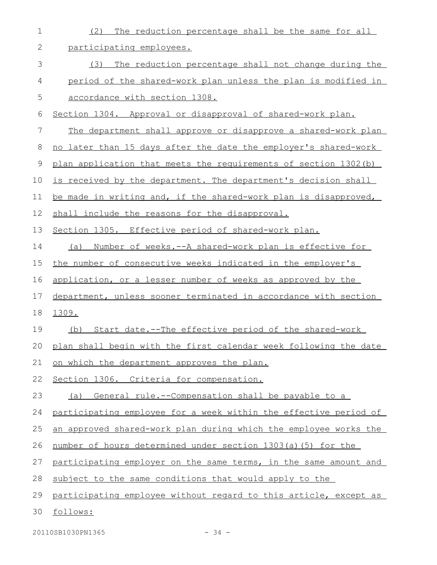| 1  | The reduction percentage shall be the same for all<br>(2)            |
|----|----------------------------------------------------------------------|
| 2  | participating employees.                                             |
| 3  | (3)<br>The reduction percentage shall not change during the          |
| 4  | period of the shared-work plan unless the plan is modified in        |
| 5  | accordance with section 1308.                                        |
| 6  | Section 1304. Approval or disapproval of shared-work plan.           |
| 7  | The department shall approve or disapprove a shared-work plan        |
| 8  | no later than 15 days after the date the employer's shared-work      |
| 9  | plan application that meets the requirements of section 1302 (b)     |
| 10 | is received by the department. The department's decision shall       |
| 11 | be made in writing and, if the shared-work plan is disapproved,      |
| 12 | shall include the reasons for the disapproval.                       |
| 13 | Section 1305. Effective period of shared-work plan.                  |
| 14 | <u>Number of weeks.--A shared-work plan is effective for </u><br>(a) |
| 15 | the number of consecutive weeks indicated in the employer's          |
| 16 | application, or a lesser number of weeks as approved by the          |
| 17 | department, unless sooner terminated in accordance with section      |
| 18 | 1309.                                                                |
| 19 | Start date.--The effective period of the shared-work<br>(b)          |
|    | 20 plan shall begin with the first calendar week following the date  |
| 21 | <u>on which the department approves the plan.</u>                    |
| 22 | Section 1306. Criteria for compensation.                             |
| 23 | (a) General rule.--Compensation shall be payable to a                |
| 24 | participating employee for a week within the effective period of     |
| 25 | an approved shared-work plan during which the employee works the     |
| 26 | number of hours determined under section 1303(a)(5) for the          |
| 27 | participating employer on the same terms, in the same amount and     |
| 28 | subject to the same conditions that would apply to the               |
| 29 | participating employee without regard to this article, except as     |
| 30 | follows:                                                             |
|    |                                                                      |

20110SB1030PN1365 - 34 -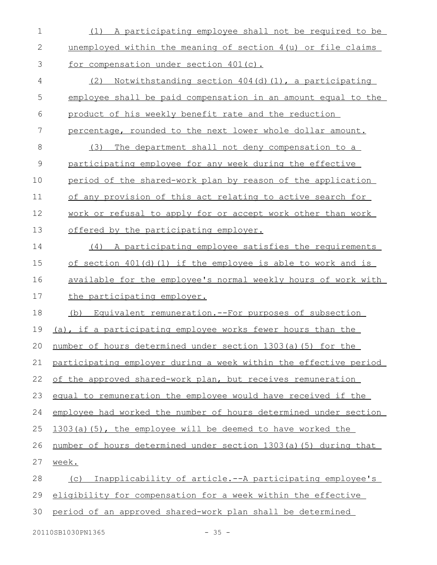| $\mathbf 1$    | (1) A participating employee shall not be required to be         |
|----------------|------------------------------------------------------------------|
| $\mathbf{2}$   | unemployed within the meaning of section 4(u) or file claims     |
| 3              | for compensation under section 401(c).                           |
| $\overline{4}$ | Notwithstanding section 404(d)(1), a participating<br>(2)        |
| 5              | employee shall be paid compensation in an amount equal to the    |
| 6              | product of his weekly benefit rate and the reduction             |
| 7              | percentage, rounded to the next lower whole dollar amount.       |
| 8              | The department shall not deny compensation to a<br>(3)           |
| $\mathcal{G}$  | participating employee for any week during the effective         |
| 10             | period of the shared-work plan by reason of the application      |
| 11             | of any provision of this act relating to active search for       |
| 12             | work or refusal to apply for or accept work other than work      |
| 13             | offered by the participating employer.                           |
| 14             | (4) A participating employee satisfies the requirements          |
| 15             | of section $401(d)(1)$ if the employee is able to work and is    |
| 16             | available for the employee's normal weekly hours of work with    |
| 17             | the participating employer.                                      |
| 18             | Equivalent remuneration.--For purposes of subsection<br>(b)      |
| 19             | (a), if a participating employee works fewer hours than the      |
| 20             | number of hours determined under section 1303(a)(5) for the      |
| 21             | participating employer during a week within the effective period |
| 22             | of the approved shared-work plan, but receives remuneration      |
| 23             | equal to remuneration the employee would have received if the    |
| 24             | employee had worked the number of hours determined under section |
| 25             | 1303(a)(5), the employee will be deemed to have worked the       |
| 26             | number of hours determined under section 1303(a)(5) during that  |
| 27             | week.                                                            |
| 28             | Inapplicability of article.--A participating employee's<br>(C)   |
| 29             | eligibility for compensation for a week within the effective     |
| 30             | period of an approved shared-work plan shall be determined       |

20110SB1030PN1365 - 35 -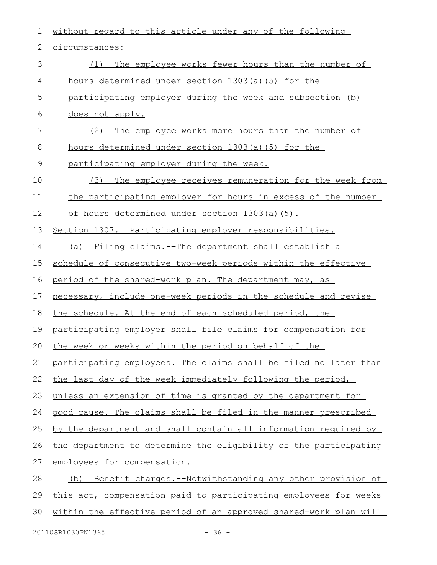| 1           | without regard to this article under any of the following        |
|-------------|------------------------------------------------------------------|
| 2           | circumstances:                                                   |
| 3           | The employee works fewer hours than the number of<br>(1)         |
| 4           | hours determined under section 1303(a)(5) for the                |
| 5           | participating employer during the week and subsection (b)        |
| 6           | does not apply.                                                  |
| 7           | The employee works more hours than the number of<br>(2)          |
| 8           | hours determined under section 1303(a)(5) for the                |
| $\mathsf 9$ | participating employer during the week.                          |
| 10          | The employee receives remuneration for the week from<br>(3)      |
| 11          | the participating employer for hours in excess of the number     |
| 12          | <u>of hours determined under section 1303(a)(5).</u>             |
| 13          | Section 1307. Participating employer responsibilities.           |
| 14          | (a) Filing claims.--The department shall establish a             |
| 15          | schedule of consecutive two-week periods within the effective    |
| 16          | period of the shared-work plan. The department may, as           |
| 17          | necessary, include one-week periods in the schedule and revise   |
| 18          | the schedule. At the end of each scheduled period, the           |
| 19          | participating employer shall file claims for compensation for    |
| 20          | the week or weeks within the period on behalf of the             |
| 21          | participating employees. The claims shall be filed no later than |
| 22          | the last day of the week immediately following the period,       |
| 23          | unless an extension of time is granted by the department for     |
| 24          | good cause. The claims shall be filed in the manner prescribed   |
| 25          | by the department and shall contain all information required by  |
| 26          | the department to determine the eligibility of the participating |
| 27          | employees for compensation.                                      |
| 28          | Benefit charges.--Notwithstanding any other provision of<br>(b)  |
| 29          | this act, compensation paid to participating employees for weeks |
| 30          | within the effective period of an approved shared-work plan will |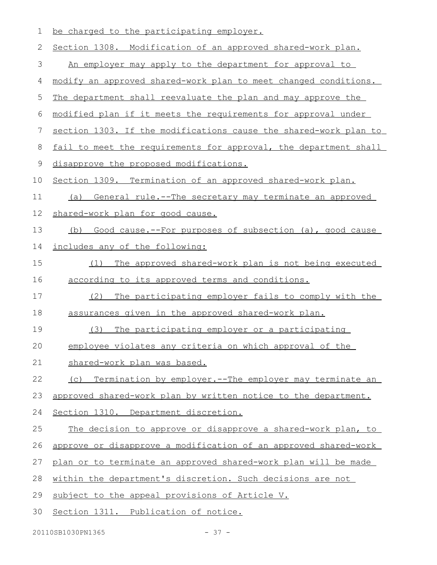| 1  | be charged to the participating employer.                        |
|----|------------------------------------------------------------------|
| 2  | Section 1308. Modification of an approved shared-work plan.      |
| 3  | An employer may apply to the department for approval to          |
| 4  | modify an approved shared-work plan to meet changed conditions.  |
| 5  | The department shall reevaluate the plan and may approve the     |
| 6  | modified plan if it meets the requirements for approval under    |
| 7  | section 1303. If the modifications cause the shared-work plan to |
| 8  | fail to meet the requirements for approval, the department shall |
| 9  | disapprove the proposed modifications.                           |
| 10 | Section 1309. Termination of an approved shared-work plan.       |
| 11 | General rule.--The secretary may terminate an approved<br>(a)    |
| 12 | shared-work plan for good cause.                                 |
| 13 | Good cause.--For purposes of subsection (a), good cause<br>(b)   |
| 14 | includes any of the following:                                   |
| 15 | The approved shared-work plan is not being executed<br>(1)       |
| 16 | according to its approved terms and conditions.                  |
| 17 | (2)<br>The participating employer fails to comply with the       |
| 18 | assurances given in the approved shared-work plan.               |
| 19 | The participating employer or a participating<br>(3)             |
| 20 | employee violates any criteria on which approval of the          |
| 21 | shared-work plan was based.                                      |
| 22 | (c) Termination by employer.--The employer may terminate an      |
| 23 | approved shared-work plan by written notice to the department.   |
| 24 | Section 1310. Department discretion.                             |
| 25 | The decision to approve or disapprove a shared-work plan, to     |
| 26 | approve or disapprove a modification of an approved shared-work  |
| 27 | plan or to terminate an approved shared-work plan will be made   |
| 28 | within the department's discretion. Such decisions are not       |
| 29 | subject to the appeal provisions of Article V.                   |
| 30 | Section 1311. Publication of notice.                             |
|    |                                                                  |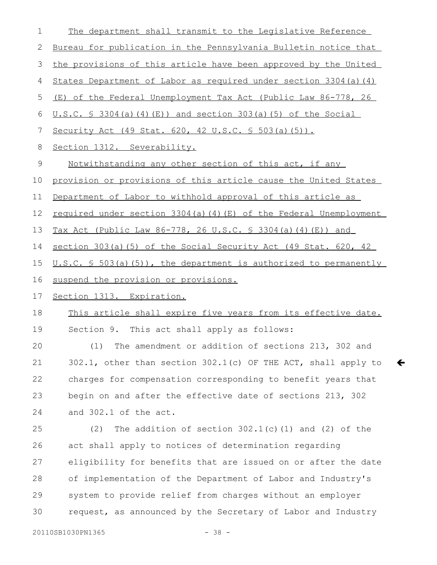| 1             | The department shall transmit to the Legislative Reference          |
|---------------|---------------------------------------------------------------------|
| 2             | Bureau for publication in the Pennsylvania Bulletin notice that     |
| 3             | the provisions of this article have been approved by the United     |
| 4             | States Department of Labor as required under section 3304(a) (4)    |
| 5             | (E) of the Federal Unemployment Tax Act (Public Law 86-778, 26      |
| 6             | <u>U.S.C. § 3304(a)(4)(E)) and section 303(a)(5) of the Social</u>  |
| 7             | Security Act (49 Stat. 620, 42 U.S.C. § 503(a)(5)).                 |
| 8             | Section 1312. Severability.                                         |
| $\mathcal{G}$ | Notwithstanding any other section of this act, if any               |
| 10            | provision or provisions of this article cause the United States     |
| 11            | Department of Labor to withhold approval of this article as         |
| 12            | required under section 3304(a)(4)(E) of the Federal Unemployment    |
| 13            | Tax Act (Public Law 86-778, 26 U.S.C. § 3304(a)(4)(E)) and          |
| 14            | section 303(a)(5) of the Social Security Act (49 Stat. 620, 42      |
| 15            | $U.S.C. S 503(a) (5)$ , the department is authorized to permanently |
|               |                                                                     |
| 16            | suspend the provision or provisions.                                |
| 17            | Section 1313. Expiration.                                           |
| 18            | This article shall expire five years from its effective date.       |
| 19            | Section 9. This act shall apply as follows:                         |
| 20            | (1) The amendment or addition of sections 213, 302 and              |
| 21            | 302.1, other than section 302.1(c) OF THE ACT, shall apply to       |
| 22            | charges for compensation corresponding to benefit years that        |
| 23            | begin on and after the effective date of sections 213, 302          |
| 24            | and 302.1 of the act.                                               |
| 25            | The addition of section $302.1(c)$ (1) and (2) of the<br>(2)        |
| 26            | act shall apply to notices of determination regarding               |
| 27            | eligibility for benefits that are issued on or after the date       |
| 28            | of implementation of the Department of Labor and Industry's         |
| 29            | system to provide relief from charges without an employer           |

 $\leftarrow$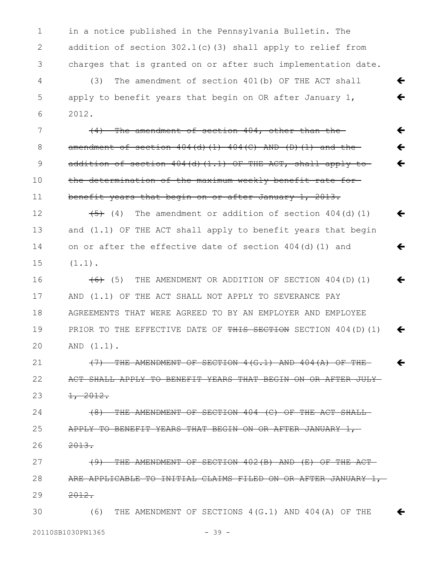in a notice published in the Pennsylvania Bulletin. The addition of section  $302.1(c)$  (3) shall apply to relief from charges that is granted on or after such implementation date. 1 2 3

(3) The amendment of section 401(b) OF THE ACT shall apply to benefit years that begin on OR after January 1, 2012. 4 5 6

(4) The amendment of section 404, other than the amendment of section  $404(d)$  (1)  $404(c)$  AND (D)(1) and the addition of section 404(d)(1.1) OF THE ACT, shall apply to the determination of the maximum weekly benefit rate forbenefit years that begin on or after January 1, 2013. 7 8 9 10 11

ç

 $\leftarrow$ 

 $\leftarrow$ 

 $\leftarrow$ 

 $\leftarrow$ 

 $\leftarrow$ 

 $\leftarrow$ 

 $\leftarrow$ 

 $\leftarrow$ 

 $(4)$  The amendment or addition of section 404(d)(1) and (1.1) OF THE ACT shall apply to benefit years that begin on or after the effective date of section  $404(d)(1)$  and  $(1.1)$ . 12 13 14 15

 $(6)$  (5) THE AMENDMENT OR ADDITION OF SECTION 404(D)(1) AND (1.1) OF THE ACT SHALL NOT APPLY TO SEVERANCE PAY AGREEMENTS THAT WERE AGREED TO BY AN EMPLOYER AND EMPLOYEE PRIOR TO THE EFFECTIVE DATE OF THIS SECTION SECTION 404(D)(1) AND (1.1).  $\leftarrow$  $\leftarrow$ 16 17 18 19 20

(7) THE AMENDMENT OF SECTION 4(G.1) AND 404(A) OF THE ACT SHALL APPLY TO BENEFIT YEARS THAT BEGIN ON OR AFTER JULY  $\frac{1}{2}$ , 2012. 21 22 23

(8) THE AMENDMENT OF SECTION 404 (C) OF THE ACT SHALL APPLY TO BENEFIT YEARS THAT BEGIN ON OR AFTER JANUARY 1, 2013. 24 25 26

(9) THE AMENDMENT OF SECTION 402(B) AND (E) OF THE ACT ARE APPLICABLE TO INITIAL CLAIMS FILED ON OR AFTER JANUARY 1,-2012. 27 28 29

(6) THE AMENDMENT OF SECTIONS 4(G.1) AND 404(A) OF THE 30

20110SB1030PN1365 - 39 -